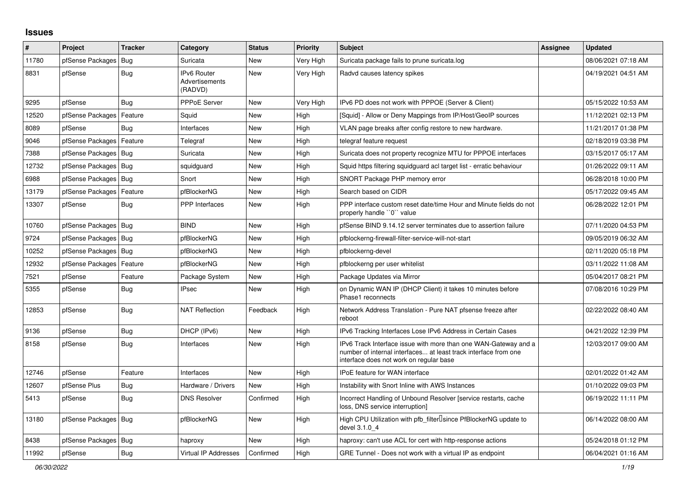## **Issues**

| ∦     | <b>Project</b>         | <b>Tracker</b> | Category                                               | <b>Status</b> | <b>Priority</b> | <b>Subject</b>                                                                                                                                                                | Assignee | <b>Updated</b>      |
|-------|------------------------|----------------|--------------------------------------------------------|---------------|-----------------|-------------------------------------------------------------------------------------------------------------------------------------------------------------------------------|----------|---------------------|
| 11780 | pfSense Packages       | Bug            | Suricata                                               | <b>New</b>    | Very High       | Suricata package fails to prune suricata.log                                                                                                                                  |          | 08/06/2021 07:18 AM |
| 8831  | pfSense                | Bug            | <b>IPv6 Router</b><br><b>Advertisements</b><br>(RADVD) | <b>New</b>    | Very High       | Radvd causes latency spikes                                                                                                                                                   |          | 04/19/2021 04:51 AM |
| 9295  | pfSense                | <b>Bug</b>     | PPPoE Server                                           | New           | Very High       | IPv6 PD does not work with PPPOE (Server & Client)                                                                                                                            |          | 05/15/2022 10:53 AM |
| 12520 | pfSense Packages       | Feature        | Squid                                                  | New           | High            | [Squid] - Allow or Deny Mappings from IP/Host/GeoIP sources                                                                                                                   |          | 11/12/2021 02:13 PM |
| 8089  | pfSense                | Bug            | Interfaces                                             | <b>New</b>    | High            | VLAN page breaks after config restore to new hardware.                                                                                                                        |          | 11/21/2017 01:38 PM |
| 9046  | pfSense Packages       | Feature        | Telegraf                                               | New           | High            | telegraf feature request                                                                                                                                                      |          | 02/18/2019 03:38 PM |
| 7388  | pfSense Packages       | <b>Bug</b>     | Suricata                                               | New           | High            | Suricata does not property recognize MTU for PPPOE interfaces                                                                                                                 |          | 03/15/2017 05:17 AM |
| 12732 | pfSense Packages       | <b>Bug</b>     | squidguard                                             | New           | High            | Squid https filtering squidguard acl target list - erratic behaviour                                                                                                          |          | 01/26/2022 09:11 AM |
| 6988  | pfSense Packages       | Bug            | Snort                                                  | <b>New</b>    | High            | SNORT Package PHP memory error                                                                                                                                                |          | 06/28/2018 10:00 PM |
| 13179 | pfSense Packages       | Feature        | pfBlockerNG                                            | New           | High            | Search based on CIDR                                                                                                                                                          |          | 05/17/2022 09:45 AM |
| 13307 | pfSense                | <b>Bug</b>     | <b>PPP</b> Interfaces                                  | New           | High            | PPP interface custom reset date/time Hour and Minute fields do not<br>properly handle "0" value                                                                               |          | 06/28/2022 12:01 PM |
| 10760 | pfSense Packages       | <b>Bug</b>     | <b>BIND</b>                                            | <b>New</b>    | High            | pfSense BIND 9.14.12 server terminates due to assertion failure                                                                                                               |          | 07/11/2020 04:53 PM |
| 9724  | pfSense Packages   Bug |                | pfBlockerNG                                            | New           | High            | pfblockerng-firewall-filter-service-will-not-start                                                                                                                            |          | 09/05/2019 06:32 AM |
| 10252 | pfSense Packages       | Bug            | pfBlockerNG                                            | <b>New</b>    | High            | pfblockerng-devel                                                                                                                                                             |          | 02/11/2020 05:18 PM |
| 12932 | pfSense Packages       | Feature        | pfBlockerNG                                            | New           | High            | pfblockerng per user whitelist                                                                                                                                                |          | 03/11/2022 11:08 AM |
| 7521  | pfSense                | Feature        | Package System                                         | New           | High            | Package Updates via Mirror                                                                                                                                                    |          | 05/04/2017 08:21 PM |
| 5355  | pfSense                | <b>Bug</b>     | <b>IPsec</b>                                           | New           | High            | on Dynamic WAN IP (DHCP Client) it takes 10 minutes before<br>Phase1 reconnects                                                                                               |          | 07/08/2016 10:29 PM |
| 12853 | pfSense                | Bug            | <b>NAT Reflection</b>                                  | Feedback      | High            | Network Address Translation - Pure NAT pfsense freeze after<br>reboot                                                                                                         |          | 02/22/2022 08:40 AM |
| 9136  | pfSense                | <b>Bug</b>     | DHCP (IPv6)                                            | <b>New</b>    | High            | IPv6 Tracking Interfaces Lose IPv6 Address in Certain Cases                                                                                                                   |          | 04/21/2022 12:39 PM |
| 8158  | pfSense                | Bug            | Interfaces                                             | <b>New</b>    | High            | IPv6 Track Interface issue with more than one WAN-Gateway and a<br>number of internal interfaces at least track interface from one<br>interface does not work on regular base |          | 12/03/2017 09:00 AM |
| 12746 | pfSense                | Feature        | Interfaces                                             | <b>New</b>    | High            | IPoE feature for WAN interface                                                                                                                                                |          | 02/01/2022 01:42 AM |
| 12607 | pfSense Plus           | Bug            | Hardware / Drivers                                     | <b>New</b>    | High            | Instability with Snort Inline with AWS Instances                                                                                                                              |          | 01/10/2022 09:03 PM |
| 5413  | pfSense                | Bug            | <b>DNS Resolver</b>                                    | Confirmed     | High            | Incorrect Handling of Unbound Resolver [service restarts, cache<br>loss, DNS service interruption]                                                                            |          | 06/19/2022 11:11 PM |
| 13180 | pfSense Packages   Bug |                | pfBlockerNG                                            | <b>New</b>    | High            | High CPU Utilization with pfb_filterlsince PfBlockerNG update to<br>devel 3.1.0 4                                                                                             |          | 06/14/2022 08:00 AM |
| 8438  | pfSense Packages       | <b>Bug</b>     | haproxy                                                | <b>New</b>    | High            | haproxy: can't use ACL for cert with http-response actions                                                                                                                    |          | 05/24/2018 01:12 PM |
| 11992 | pfSense                | <b>Bug</b>     | Virtual IP Addresses                                   | Confirmed     | High            | GRE Tunnel - Does not work with a virtual IP as endpoint                                                                                                                      |          | 06/04/2021 01:16 AM |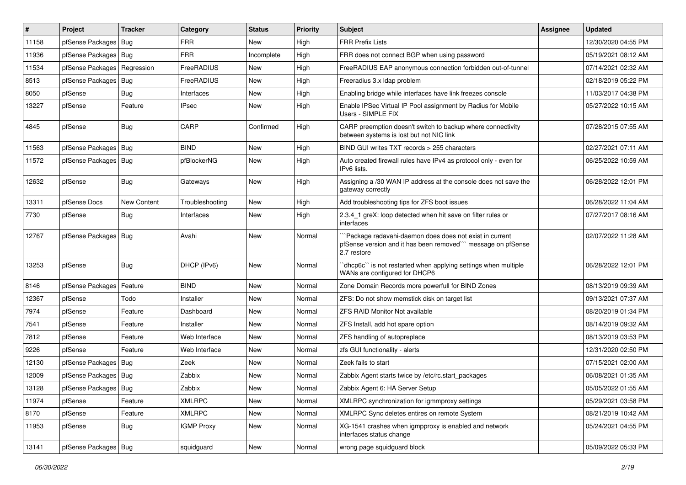| ∦     | Project                | <b>Tracker</b> | Category          | <b>Status</b> | <b>Priority</b> | <b>Subject</b>                                                                                                                        | <b>Assignee</b> | <b>Updated</b>      |
|-------|------------------------|----------------|-------------------|---------------|-----------------|---------------------------------------------------------------------------------------------------------------------------------------|-----------------|---------------------|
| 11158 | pfSense Packages       | <b>Bug</b>     | <b>FRR</b>        | New           | High            | <b>FRR Prefix Lists</b>                                                                                                               |                 | 12/30/2020 04:55 PM |
| 11936 | pfSense Packages       | Bug            | <b>FRR</b>        | Incomplete    | High            | FRR does not connect BGP when using password                                                                                          |                 | 05/19/2021 08:12 AM |
| 11534 | pfSense Packages       | Regression     | FreeRADIUS        | New           | High            | FreeRADIUS EAP anonymous connection forbidden out-of-tunnel                                                                           |                 | 07/14/2021 02:32 AM |
| 8513  | pfSense Packages       | Bug            | FreeRADIUS        | <b>New</b>    | High            | Freeradius 3.x Idap problem                                                                                                           |                 | 02/18/2019 05:22 PM |
| 8050  | pfSense                | Bug            | Interfaces        | <b>New</b>    | High            | Enabling bridge while interfaces have link freezes console                                                                            |                 | 11/03/2017 04:38 PM |
| 13227 | pfSense                | Feature        | <b>IPsec</b>      | New           | High            | Enable IPSec Virtual IP Pool assignment by Radius for Mobile<br>Users - SIMPLE FIX                                                    |                 | 05/27/2022 10:15 AM |
| 4845  | pfSense                | Bug            | CARP              | Confirmed     | High            | CARP preemption doesn't switch to backup where connectivity<br>between systems is lost but not NIC link                               |                 | 07/28/2015 07:55 AM |
| 11563 | pfSense Packages       | Bug            | <b>BIND</b>       | <b>New</b>    | High            | BIND GUI writes TXT records > 255 characters                                                                                          |                 | 02/27/2021 07:11 AM |
| 11572 | pfSense Packages       | Bug            | pfBlockerNG       | <b>New</b>    | High            | Auto created firewall rules have IPv4 as protocol only - even for<br>IPv6 lists.                                                      |                 | 06/25/2022 10:59 AM |
| 12632 | pfSense                | <b>Bug</b>     | Gateways          | <b>New</b>    | High            | Assigning a /30 WAN IP address at the console does not save the<br>gateway correctly                                                  |                 | 06/28/2022 12:01 PM |
| 13311 | pfSense Docs           | New Content    | Troubleshooting   | <b>New</b>    | High            | Add troubleshooting tips for ZFS boot issues                                                                                          |                 | 06/28/2022 11:04 AM |
| 7730  | pfSense                | Bug            | Interfaces        | <b>New</b>    | High            | 2.3.4 1 greX: loop detected when hit save on filter rules or<br>interfaces                                                            |                 | 07/27/2017 08:16 AM |
| 12767 | pfSense Packages   Bug |                | Avahi             | New           | Normal          | Package radavahi-daemon does does not exist in current<br>pfSense version and it has been removed"" message on pfSense<br>2.7 restore |                 | 02/07/2022 11:28 AM |
| 13253 | pfSense                | Bug            | DHCP (IPv6)       | New           | Normal          | 'dhcp6c'' is not restarted when applying settings when multiple<br>WANs are configured for DHCP6                                      |                 | 06/28/2022 12:01 PM |
| 8146  | pfSense Packages       | Feature        | <b>BIND</b>       | <b>New</b>    | Normal          | Zone Domain Records more powerfull for BIND Zones                                                                                     |                 | 08/13/2019 09:39 AM |
| 12367 | pfSense                | Todo           | Installer         | <b>New</b>    | Normal          | ZFS: Do not show memstick disk on target list                                                                                         |                 | 09/13/2021 07:37 AM |
| 7974  | pfSense                | Feature        | Dashboard         | New           | Normal          | ZFS RAID Monitor Not available                                                                                                        |                 | 08/20/2019 01:34 PM |
| 7541  | pfSense                | Feature        | Installer         | New           | Normal          | ZFS Install, add hot spare option                                                                                                     |                 | 08/14/2019 09:32 AM |
| 7812  | pfSense                | Feature        | Web Interface     | <b>New</b>    | Normal          | ZFS handling of autopreplace                                                                                                          |                 | 08/13/2019 03:53 PM |
| 9226  | pfSense                | Feature        | Web Interface     | New           | Normal          | zfs GUI functionality - alerts                                                                                                        |                 | 12/31/2020 02:50 PM |
| 12130 | pfSense Packages       | <b>Bug</b>     | Zeek              | New           | Normal          | Zeek fails to start                                                                                                                   |                 | 07/15/2021 02:00 AM |
| 12009 | pfSense Packages   Bug |                | Zabbix            | New           | Normal          | Zabbix Agent starts twice by /etc/rc.start packages                                                                                   |                 | 06/08/2021 01:35 AM |
| 13128 | pfSense Packages Bug   |                | Zabbix            | New           | Normal          | Zabbix Agent 6: HA Server Setup                                                                                                       |                 | 05/05/2022 01:55 AM |
| 11974 | pfSense                | Feature        | <b>XMLRPC</b>     | New           | Normal          | XMLRPC synchronization for igmmproxy settings                                                                                         |                 | 05/29/2021 03:58 PM |
| 8170  | pfSense                | Feature        | <b>XMLRPC</b>     | New           | Normal          | XMLRPC Sync deletes entires on remote System                                                                                          |                 | 08/21/2019 10:42 AM |
| 11953 | pfSense                | <b>Bug</b>     | <b>IGMP Proxy</b> | New           | Normal          | XG-1541 crashes when igmpproxy is enabled and network<br>interfaces status change                                                     |                 | 05/24/2021 04:55 PM |
| 13141 | pfSense Packages   Bug |                | squidguard        | New           | Normal          | wrong page squidguard block                                                                                                           |                 | 05/09/2022 05:33 PM |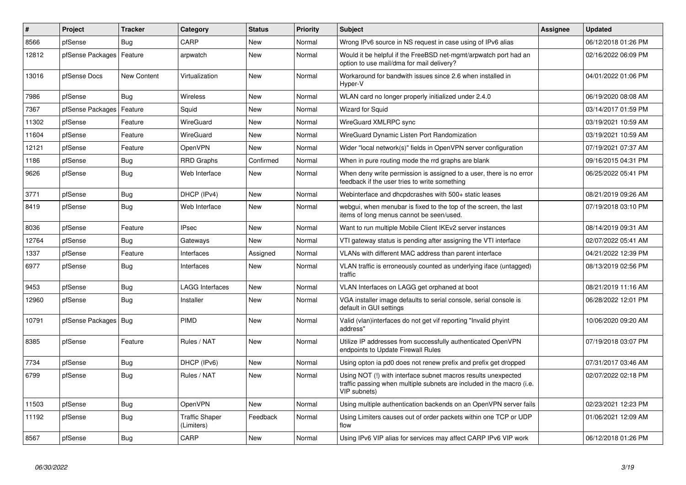| $\vert$ # | <b>Project</b>         | <b>Tracker</b>     | Category                            | <b>Status</b> | Priority | <b>Subject</b>                                                                                                                                         | <b>Assignee</b> | Updated             |
|-----------|------------------------|--------------------|-------------------------------------|---------------|----------|--------------------------------------------------------------------------------------------------------------------------------------------------------|-----------------|---------------------|
| 8566      | pfSense                | Bug                | CARP                                | <b>New</b>    | Normal   | Wrong IPv6 source in NS request in case using of IPv6 alias                                                                                            |                 | 06/12/2018 01:26 PM |
| 12812     | pfSense Packages       | Feature            | arpwatch                            | <b>New</b>    | Normal   | Would it be helpful if the FreeBSD net-mgmt/arpwatch port had an<br>option to use mail/dma for mail delivery?                                          |                 | 02/16/2022 06:09 PM |
| 13016     | pfSense Docs           | <b>New Content</b> | Virtualization                      | <b>New</b>    | Normal   | Workaround for bandwith issues since 2.6 when installed in<br>Hyper-V                                                                                  |                 | 04/01/2022 01:06 PM |
| 7986      | pfSense                | Bug                | Wireless                            | New           | Normal   | WLAN card no longer properly initialized under 2.4.0                                                                                                   |                 | 06/19/2020 08:08 AM |
| 7367      | pfSense Packages       | Feature            | Squid                               | New           | Normal   | <b>Wizard for Squid</b>                                                                                                                                |                 | 03/14/2017 01:59 PM |
| 11302     | pfSense                | Feature            | WireGuard                           | New           | Normal   | WireGuard XMLRPC sync                                                                                                                                  |                 | 03/19/2021 10:59 AM |
| 11604     | pfSense                | Feature            | WireGuard                           | <b>New</b>    | Normal   | WireGuard Dynamic Listen Port Randomization                                                                                                            |                 | 03/19/2021 10:59 AM |
| 12121     | pfSense                | Feature            | OpenVPN                             | New           | Normal   | Wider "local network(s)" fields in OpenVPN server configuration                                                                                        |                 | 07/19/2021 07:37 AM |
| 1186      | pfSense                | <b>Bug</b>         | <b>RRD Graphs</b>                   | Confirmed     | Normal   | When in pure routing mode the rrd graphs are blank                                                                                                     |                 | 09/16/2015 04:31 PM |
| 9626      | pfSense                | Bug                | Web Interface                       | <b>New</b>    | Normal   | When deny write permission is assigned to a user, there is no error<br>feedback if the user tries to write something                                   |                 | 06/25/2022 05:41 PM |
| 3771      | pfSense                | Bug                | DHCP (IPv4)                         | <b>New</b>    | Normal   | Webinterface and dhcpdcrashes with 500+ static leases                                                                                                  |                 | 08/21/2019 09:26 AM |
| 8419      | pfSense                | Bug                | Web Interface                       | <b>New</b>    | Normal   | webgui, when menubar is fixed to the top of the screen, the last<br>items of long menus cannot be seen/used.                                           |                 | 07/19/2018 03:10 PM |
| 8036      | pfSense                | Feature            | <b>IPsec</b>                        | <b>New</b>    | Normal   | Want to run multiple Mobile Client IKEv2 server instances                                                                                              |                 | 08/14/2019 09:31 AM |
| 12764     | pfSense                | <b>Bug</b>         | Gateways                            | New           | Normal   | VTI gateway status is pending after assigning the VTI interface                                                                                        |                 | 02/07/2022 05:41 AM |
| 1337      | pfSense                | Feature            | Interfaces                          | Assigned      | Normal   | VLANs with different MAC address than parent interface                                                                                                 |                 | 04/21/2022 12:39 PM |
| 6977      | pfSense                | Bug                | Interfaces                          | New           | Normal   | VLAN traffic is erroneously counted as underlying iface (untagged)<br>traffic                                                                          |                 | 08/13/2019 02:56 PM |
| 9453      | pfSense                | Bug                | <b>LAGG Interfaces</b>              | New           | Normal   | VLAN Interfaces on LAGG get orphaned at boot                                                                                                           |                 | 08/21/2019 11:16 AM |
| 12960     | pfSense                | <b>Bug</b>         | Installer                           | New           | Normal   | VGA installer image defaults to serial console, serial console is<br>default in GUI settings                                                           |                 | 06/28/2022 12:01 PM |
| 10791     | pfSense Packages   Bug |                    | PIMD                                | <b>New</b>    | Normal   | Valid (vlan)interfaces do not get vif reporting "Invalid phyint<br>address"                                                                            |                 | 10/06/2020 09:20 AM |
| 8385      | pfSense                | Feature            | Rules / NAT                         | <b>New</b>    | Normal   | Utilize IP addresses from successfully authenticated OpenVPN<br>endpoints to Update Firewall Rules                                                     |                 | 07/19/2018 03:07 PM |
| 7734      | pfSense                | <b>Bug</b>         | DHCP (IPv6)                         | <b>New</b>    | Normal   | Using opton ia pd0 does not renew prefix and prefix get dropped                                                                                        |                 | 07/31/2017 03:46 AM |
| 6799      | pfSense                | <b>Bug</b>         | Rules / NAT                         | New           | Normal   | Using NOT (!) with interface subnet macros results unexpected<br>traffic passing when multiple subnets are included in the macro (i.e.<br>VIP subnets) |                 | 02/07/2022 02:18 PM |
| 11503     | pfSense                | Bug                | OpenVPN                             | <b>New</b>    | Normal   | Using multiple authentication backends on an OpenVPN server fails                                                                                      |                 | 02/23/2021 12:23 PM |
| 11192     | pfSense                | <b>Bug</b>         | <b>Traffic Shaper</b><br>(Limiters) | Feedback      | Normal   | Using Limiters causes out of order packets within one TCP or UDP<br>flow                                                                               |                 | 01/06/2021 12:09 AM |
| 8567      | pfSense                | Bug                | CARP                                | <b>New</b>    | Normal   | Using IPv6 VIP alias for services may affect CARP IPv6 VIP work                                                                                        |                 | 06/12/2018 01:26 PM |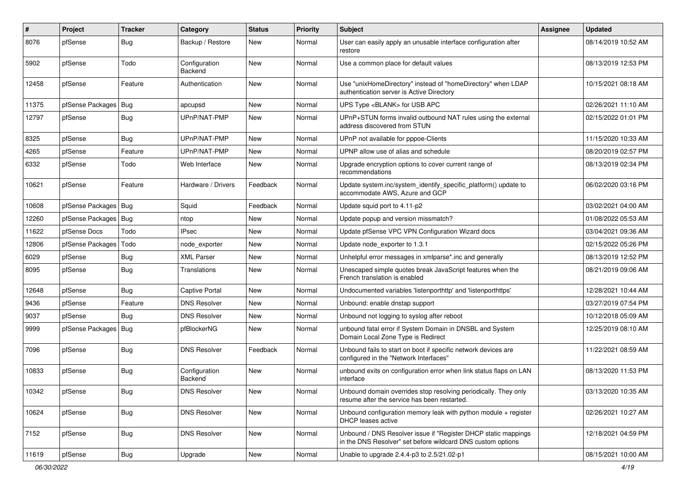| #     | Project                | <b>Tracker</b> | Category                 | <b>Status</b> | <b>Priority</b> | Subject                                                                                                                       | <b>Assignee</b> | <b>Updated</b>      |
|-------|------------------------|----------------|--------------------------|---------------|-----------------|-------------------------------------------------------------------------------------------------------------------------------|-----------------|---------------------|
| 8076  | pfSense                | Bug            | Backup / Restore         | New           | Normal          | User can easily apply an unusable interface configuration after<br>restore                                                    |                 | 08/14/2019 10:52 AM |
| 5902  | pfSense                | Todo           | Configuration<br>Backend | <b>New</b>    | Normal          | Use a common place for default values                                                                                         |                 | 08/13/2019 12:53 PM |
| 12458 | pfSense                | Feature        | Authentication           | <b>New</b>    | Normal          | Use "unixHomeDirectory" instead of "homeDirectory" when LDAP<br>authentication server is Active Directory                     |                 | 10/15/2021 08:18 AM |
| 11375 | pfSense Packages   Bug |                | apcupsd                  | <b>New</b>    | Normal          | UPS Type <blank> for USB APC</blank>                                                                                          |                 | 02/26/2021 11:10 AM |
| 12797 | pfSense                | Bug            | UPnP/NAT-PMP             | New           | Normal          | UPnP+STUN forms invalid outbound NAT rules using the external<br>address discovered from STUN                                 |                 | 02/15/2022 01:01 PM |
| 8325  | pfSense                | Bug            | UPnP/NAT-PMP             | New           | Normal          | UPnP not available for pppoe-Clients                                                                                          |                 | 11/15/2020 10:33 AM |
| 4265  | pfSense                | Feature        | UPnP/NAT-PMP             | New           | Normal          | UPNP allow use of alias and schedule                                                                                          |                 | 08/20/2019 02:57 PM |
| 6332  | pfSense                | Todo           | Web Interface            | New           | Normal          | Upgrade encryption options to cover current range of<br>recommendations                                                       |                 | 08/13/2019 02:34 PM |
| 10621 | pfSense                | Feature        | Hardware / Drivers       | Feedback      | Normal          | Update system.inc/system_identify_specific_platform() update to<br>accommodate AWS, Azure and GCP                             |                 | 06/02/2020 03:16 PM |
| 10608 | pfSense Packages   Bug |                | Squid                    | Feedback      | Normal          | Update squid port to 4.11-p2                                                                                                  |                 | 03/02/2021 04:00 AM |
| 12260 | pfSense Packages       | <b>Bug</b>     | ntop                     | New           | Normal          | Update popup and version missmatch?                                                                                           |                 | 01/08/2022 05:53 AM |
| 11622 | pfSense Docs           | Todo           | <b>IPsec</b>             | New           | Normal          | Update pfSense VPC VPN Configuration Wizard docs                                                                              |                 | 03/04/2021 09:36 AM |
| 12806 | pfSense Packages       | Todo           | node exporter            | New           | Normal          | Update node exporter to 1.3.1                                                                                                 |                 | 02/15/2022 05:26 PM |
| 6029  | pfSense                | <b>Bug</b>     | <b>XML Parser</b>        | New           | Normal          | Unhelpful error messages in xmlparse*.inc and generally                                                                       |                 | 08/13/2019 12:52 PM |
| 8095  | pfSense                | <b>Bug</b>     | Translations             | <b>New</b>    | Normal          | Unescaped simple quotes break JavaScript features when the<br>French translation is enabled                                   |                 | 08/21/2019 09:06 AM |
| 12648 | pfSense                | Bug            | <b>Captive Portal</b>    | <b>New</b>    | Normal          | Undocumented variables 'listenporthttp' and 'listenporthttps'                                                                 |                 | 12/28/2021 10:44 AM |
| 9436  | pfSense                | Feature        | <b>DNS Resolver</b>      | <b>New</b>    | Normal          | Unbound: enable dnstap support                                                                                                |                 | 03/27/2019 07:54 PM |
| 9037  | pfSense                | Bug            | <b>DNS Resolver</b>      | New           | Normal          | Unbound not logging to syslog after reboot                                                                                    |                 | 10/12/2018 05:09 AM |
| 9999  | pfSense Packages   Bug |                | pfBlockerNG              | New           | Normal          | unbound fatal error if System Domain in DNSBL and System<br>Domain Local Zone Type is Redirect                                |                 | 12/25/2019 08:10 AM |
| 7096  | pfSense                | Bug            | <b>DNS Resolver</b>      | Feedback      | Normal          | Unbound fails to start on boot if specific network devices are<br>configured in the "Network Interfaces"                      |                 | 11/22/2021 08:59 AM |
| 10833 | pfSense                | Bug            | Configuration<br>Backend | New           | Normal          | unbound exits on configuration error when link status flaps on LAN<br>interface                                               |                 | 08/13/2020 11:53 PM |
| 10342 | pfSense                | <b>Bug</b>     | <b>DNS Resolver</b>      | <b>New</b>    | Normal          | Unbound domain overrides stop resolving periodically. They only<br>resume after the service has been restarted.               |                 | 03/13/2020 10:35 AM |
| 10624 | pfSense                | <b>Bug</b>     | <b>DNS Resolver</b>      | New           | Normal          | Unbound configuration memory leak with python module $+$ register<br>DHCP leases active                                       |                 | 02/26/2021 10:27 AM |
| 7152  | pfSense                | Bug            | <b>DNS Resolver</b>      | <b>New</b>    | Normal          | Unbound / DNS Resolver issue if "Register DHCP static mappings<br>in the DNS Resolver" set before wildcard DNS custom options |                 | 12/18/2021 04:59 PM |
| 11619 | pfSense                | Bug            | Upgrade                  | New           | Normal          | Unable to upgrade 2.4.4-p3 to 2.5/21.02-p1                                                                                    |                 | 08/15/2021 10:00 AM |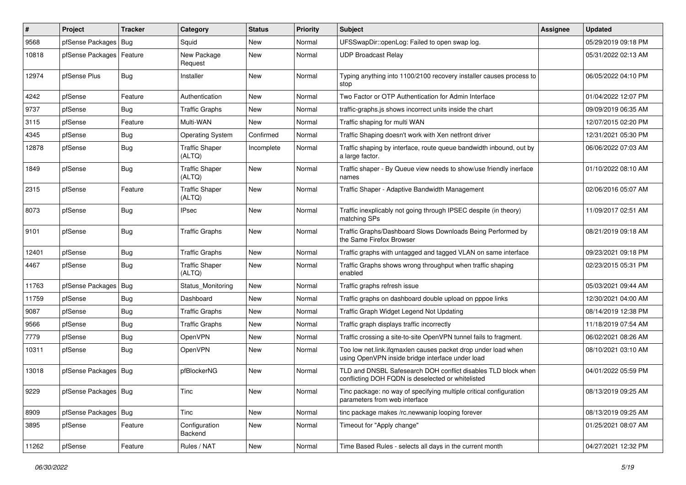| $\vert$ # | Project                    | <b>Tracker</b> | Category                        | <b>Status</b> | <b>Priority</b> | Subject                                                                                                            | <b>Assignee</b> | <b>Updated</b>      |
|-----------|----------------------------|----------------|---------------------------------|---------------|-----------------|--------------------------------------------------------------------------------------------------------------------|-----------------|---------------------|
| 9568      | pfSense Packages           | Bug            | Squid                           | New           | Normal          | UFSSwapDir::openLog: Failed to open swap log.                                                                      |                 | 05/29/2019 09:18 PM |
| 10818     | pfSense Packages   Feature |                | New Package<br>Request          | New           | Normal          | <b>UDP Broadcast Relay</b>                                                                                         |                 | 05/31/2022 02:13 AM |
| 12974     | pfSense Plus               | Bug            | Installer                       | <b>New</b>    | Normal          | Typing anything into 1100/2100 recovery installer causes process to<br>stop                                        |                 | 06/05/2022 04:10 PM |
| 4242      | pfSense                    | Feature        | Authentication                  | <b>New</b>    | Normal          | Two Factor or OTP Authentication for Admin Interface                                                               |                 | 01/04/2022 12:07 PM |
| 9737      | pfSense                    | <b>Bug</b>     | <b>Traffic Graphs</b>           | New           | Normal          | traffic-graphs is shows incorrect units inside the chart                                                           |                 | 09/09/2019 06:35 AM |
| 3115      | pfSense                    | Feature        | Multi-WAN                       | New           | Normal          | Traffic shaping for multi WAN                                                                                      |                 | 12/07/2015 02:20 PM |
| 4345      | pfSense                    | <b>Bug</b>     | <b>Operating System</b>         | Confirmed     | Normal          | Traffic Shaping doesn't work with Xen netfront driver                                                              |                 | 12/31/2021 05:30 PM |
| 12878     | pfSense                    | Bug            | <b>Traffic Shaper</b><br>(ALTQ) | Incomplete    | Normal          | Traffic shaping by interface, route queue bandwidth inbound, out by<br>a large factor.                             |                 | 06/06/2022 07:03 AM |
| 1849      | pfSense                    | Bug            | <b>Traffic Shaper</b><br>(ALTQ) | <b>New</b>    | Normal          | Traffic shaper - By Queue view needs to show/use friendly inerface<br>names                                        |                 | 01/10/2022 08:10 AM |
| 2315      | pfSense                    | Feature        | <b>Traffic Shaper</b><br>(ALTQ) | <b>New</b>    | Normal          | Traffic Shaper - Adaptive Bandwidth Management                                                                     |                 | 02/06/2016 05:07 AM |
| 8073      | pfSense                    | Bug            | <b>IPsec</b>                    | <b>New</b>    | Normal          | Traffic inexplicably not going through IPSEC despite (in theory)<br>matching SPs                                   |                 | 11/09/2017 02:51 AM |
| 9101      | pfSense                    | Bug            | <b>Traffic Graphs</b>           | <b>New</b>    | Normal          | Traffic Graphs/Dashboard Slows Downloads Being Performed by<br>the Same Firefox Browser                            |                 | 08/21/2019 09:18 AM |
| 12401     | pfSense                    | Bug            | <b>Traffic Graphs</b>           | <b>New</b>    | Normal          | Traffic graphs with untagged and tagged VLAN on same interface                                                     |                 | 09/23/2021 09:18 PM |
| 4467      | pfSense                    | Bug            | <b>Traffic Shaper</b><br>(ALTQ) | New           | Normal          | Traffic Graphs shows wrong throughput when traffic shaping<br>enabled                                              |                 | 02/23/2015 05:31 PM |
| 11763     | pfSense Packages           | Bug            | Status Monitoring               | <b>New</b>    | Normal          | Traffic graphs refresh issue                                                                                       |                 | 05/03/2021 09:44 AM |
| 11759     | pfSense                    | <b>Bug</b>     | Dashboard                       | <b>New</b>    | Normal          | Traffic graphs on dashboard double upload on pppoe links                                                           |                 | 12/30/2021 04:00 AM |
| 9087      | pfSense                    | Bug            | <b>Traffic Graphs</b>           | New           | Normal          | Traffic Graph Widget Legend Not Updating                                                                           |                 | 08/14/2019 12:38 PM |
| 9566      | pfSense                    | <b>Bug</b>     | <b>Traffic Graphs</b>           | New           | Normal          | Traffic graph displays traffic incorrectly                                                                         |                 | 11/18/2019 07:54 AM |
| 7779      | pfSense                    | Bug            | OpenVPN                         | <b>New</b>    | Normal          | Traffic crossing a site-to-site OpenVPN tunnel fails to fragment.                                                  |                 | 06/02/2021 08:26 AM |
| 10311     | pfSense                    | <b>Bug</b>     | OpenVPN                         | New           | Normal          | Too low net.link.ifqmaxlen causes packet drop under load when<br>using OpenVPN inside bridge interface under load  |                 | 08/10/2021 03:10 AM |
| 13018     | pfSense Packages           | Bug            | pfBlockerNG                     | <b>New</b>    | Normal          | TLD and DNSBL Safesearch DOH conflict disables TLD block when<br>conflicting DOH FQDN is deselected or whitelisted |                 | 04/01/2022 05:59 PM |
| 9229      | pfSense Packages Bug       |                | Tinc                            | New           | Normal          | Tinc package: no way of specifying multiple critical configuration<br>parameters from web interface                |                 | 08/13/2019 09:25 AM |
| 8909      | pfSense Packages   Bug     |                | Tinc                            | New           | Normal          | tinc package makes /rc.newwanip looping forever                                                                    |                 | 08/13/2019 09:25 AM |
| 3895      | pfSense                    | Feature        | Configuration<br>Backend        | New           | Normal          | Timeout for "Apply change"                                                                                         |                 | 01/25/2021 08:07 AM |
| 11262     | pfSense                    | Feature        | Rules / NAT                     | New           | Normal          | Time Based Rules - selects all days in the current month                                                           |                 | 04/27/2021 12:32 PM |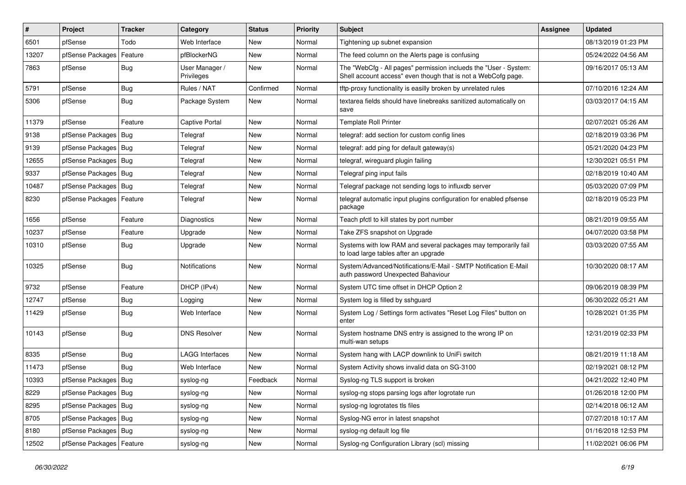| $\sharp$ | Project                    | <b>Tracker</b> | Category                     | <b>Status</b> | <b>Priority</b> | Subject                                                                                                                           | <b>Assignee</b> | <b>Updated</b>      |
|----------|----------------------------|----------------|------------------------------|---------------|-----------------|-----------------------------------------------------------------------------------------------------------------------------------|-----------------|---------------------|
| 6501     | pfSense                    | Todo           | Web Interface                | New           | Normal          | Tightening up subnet expansion                                                                                                    |                 | 08/13/2019 01:23 PM |
| 13207    | pfSense Packages           | Feature        | pfBlockerNG                  | <b>New</b>    | Normal          | The feed column on the Alerts page is confusing                                                                                   |                 | 05/24/2022 04:56 AM |
| 7863     | pfSense                    | Bug            | User Manager /<br>Privileges | New           | Normal          | The "WebCfg - All pages" permission inclueds the "User - System:<br>Shell account access" even though that is not a WebCofg page. |                 | 09/16/2017 05:13 AM |
| 5791     | pfSense                    | <b>Bug</b>     | Rules / NAT                  | Confirmed     | Normal          | tftp-proxy functionality is easilly broken by unrelated rules                                                                     |                 | 07/10/2016 12:24 AM |
| 5306     | pfSense                    | Bug            | Package System               | New           | Normal          | textarea fields should have linebreaks sanitized automatically on<br>save                                                         |                 | 03/03/2017 04:15 AM |
| 11379    | pfSense                    | Feature        | <b>Captive Portal</b>        | <b>New</b>    | Normal          | <b>Template Roll Printer</b>                                                                                                      |                 | 02/07/2021 05:26 AM |
| 9138     | pfSense Packages           | Bug            | Telegraf                     | New           | Normal          | telegraf: add section for custom config lines                                                                                     |                 | 02/18/2019 03:36 PM |
| 9139     | pfSense Packages           | Bug            | Telegraf                     | New           | Normal          | telegraf: add ping for default gateway(s)                                                                                         |                 | 05/21/2020 04:23 PM |
| 12655    | pfSense Packages           | Bug            | Telegraf                     | New           | Normal          | telegraf, wireguard plugin failing                                                                                                |                 | 12/30/2021 05:51 PM |
| 9337     | pfSense Packages   Bug     |                | Telegraf                     | New           | Normal          | Telegraf ping input fails                                                                                                         |                 | 02/18/2019 10:40 AM |
| 10487    | pfSense Packages           | Bug            | Telegraf                     | New           | Normal          | Telegraf package not sending logs to influxdb server                                                                              |                 | 05/03/2020 07:09 PM |
| 8230     | pfSense Packages   Feature |                | Telegraf                     | New           | Normal          | telegraf automatic input plugins configuration for enabled pfsense<br>package                                                     |                 | 02/18/2019 05:23 PM |
| 1656     | pfSense                    | Feature        | <b>Diagnostics</b>           | New           | Normal          | Teach pfctl to kill states by port number                                                                                         |                 | 08/21/2019 09:55 AM |
| 10237    | pfSense                    | Feature        | Upgrade                      | New           | Normal          | Take ZFS snapshot on Upgrade                                                                                                      |                 | 04/07/2020 03:58 PM |
| 10310    | pfSense                    | Bug            | Upgrade                      | New           | Normal          | Systems with low RAM and several packages may temporarily fail<br>to load large tables after an upgrade                           |                 | 03/03/2020 07:55 AM |
| 10325    | pfSense                    | Bug            | <b>Notifications</b>         | New           | Normal          | System/Advanced/Notifications/E-Mail - SMTP Notification E-Mail<br>auth password Unexpected Bahaviour                             |                 | 10/30/2020 08:17 AM |
| 9732     | pfSense                    | Feature        | DHCP (IPv4)                  | New           | Normal          | System UTC time offset in DHCP Option 2                                                                                           |                 | 09/06/2019 08:39 PM |
| 12747    | pfSense                    | <b>Bug</b>     | Logging                      | New           | Normal          | System log is filled by sshguard                                                                                                  |                 | 06/30/2022 05:21 AM |
| 11429    | pfSense                    | <b>Bug</b>     | Web Interface                | New           | Normal          | System Log / Settings form activates "Reset Log Files" button on<br>enter                                                         |                 | 10/28/2021 01:35 PM |
| 10143    | pfSense                    | Bug            | <b>DNS Resolver</b>          | New           | Normal          | System hostname DNS entry is assigned to the wrong IP on<br>multi-wan setups                                                      |                 | 12/31/2019 02:33 PM |
| 8335     | pfSense                    | <b>Bug</b>     | <b>LAGG Interfaces</b>       | New           | Normal          | System hang with LACP downlink to UniFi switch                                                                                    |                 | 08/21/2019 11:18 AM |
| 11473    | pfSense                    | <b>Bug</b>     | Web Interface                | New           | Normal          | System Activity shows invalid data on SG-3100                                                                                     |                 | 02/19/2021 08:12 PM |
| 10393    | pfSense Packages   Bug     |                | syslog-ng                    | Feedback      | Normal          | Syslog-ng TLS support is broken                                                                                                   |                 | 04/21/2022 12:40 PM |
| 8229     | pfSense Packages   Bug     |                | syslog-ng                    | New           | Normal          | syslog-ng stops parsing logs after logrotate run                                                                                  |                 | 01/26/2018 12:00 PM |
| 8295     | pfSense Packages           | Bug            | syslog-ng                    | New           | Normal          | syslog-ng logrotates tls files                                                                                                    |                 | 02/14/2018 06:12 AM |
| 8705     | pfSense Packages   Bug     |                | syslog-ng                    | New           | Normal          | Syslog-NG error in latest snapshot                                                                                                |                 | 07/27/2018 10:17 AM |
| 8180     | pfSense Packages   Bug     |                | syslog-ng                    | New           | Normal          | syslog-ng default log file                                                                                                        |                 | 01/16/2018 12:53 PM |
| 12502    | pfSense Packages   Feature |                | syslog-ng                    | New           | Normal          | Syslog-ng Configuration Library (scl) missing                                                                                     |                 | 11/02/2021 06:06 PM |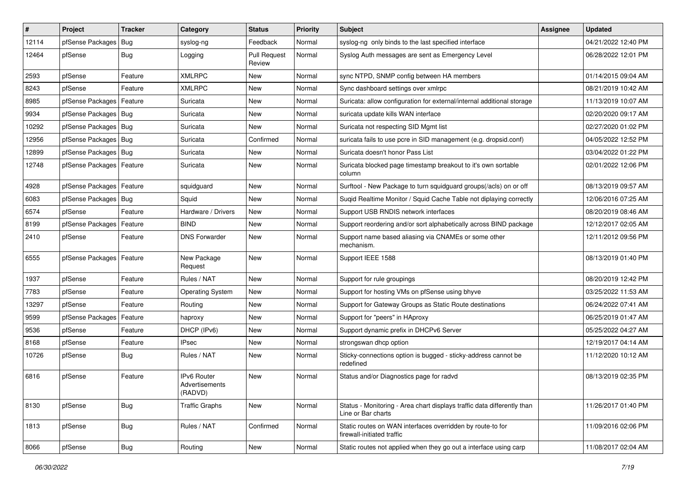| $\vert$ # | Project                | <b>Tracker</b> | Category                                        | <b>Status</b>                 | <b>Priority</b> | Subject                                                                                       | <b>Assignee</b> | <b>Updated</b>      |
|-----------|------------------------|----------------|-------------------------------------------------|-------------------------------|-----------------|-----------------------------------------------------------------------------------------------|-----------------|---------------------|
| 12114     | pfSense Packages       | Bug            | syslog-ng                                       | Feedback                      | Normal          | syslog-ng only binds to the last specified interface                                          |                 | 04/21/2022 12:40 PM |
| 12464     | pfSense                | Bug            | Logging                                         | <b>Pull Request</b><br>Review | Normal          | Syslog Auth messages are sent as Emergency Level                                              |                 | 06/28/2022 12:01 PM |
| 2593      | pfSense                | Feature        | <b>XMLRPC</b>                                   | New                           | Normal          | sync NTPD, SNMP config between HA members                                                     |                 | 01/14/2015 09:04 AM |
| 8243      | pfSense                | Feature        | <b>XMLRPC</b>                                   | <b>New</b>                    | Normal          | Sync dashboard settings over xmlrpc                                                           |                 | 08/21/2019 10:42 AM |
| 8985      | pfSense Packages       | Feature        | Suricata                                        | New                           | Normal          | Suricata: allow configuration for external/internal additional storage                        |                 | 11/13/2019 10:07 AM |
| 9934      | pfSense Packages   Bug |                | Suricata                                        | New                           | Normal          | suricata update kills WAN interface                                                           |                 | 02/20/2020 09:17 AM |
| 10292     | pfSense Packages   Bug |                | Suricata                                        | New                           | Normal          | Suricata not respecting SID Mgmt list                                                         |                 | 02/27/2020 01:02 PM |
| 12956     | pfSense Packages   Bug |                | Suricata                                        | Confirmed                     | Normal          | suricata fails to use pcre in SID management (e.g. dropsid.conf)                              |                 | 04/05/2022 12:52 PM |
| 12899     | pfSense Packages   Bug |                | Suricata                                        | <b>New</b>                    | Normal          | Suricata doesn't honor Pass List                                                              |                 | 03/04/2022 01:22 PM |
| 12748     | pfSense Packages       | Feature        | Suricata                                        | New                           | Normal          | Suricata blocked page timestamp breakout to it's own sortable<br>column                       |                 | 02/01/2022 12:06 PM |
| 4928      | pfSense Packages       | Feature        | squidguard                                      | <b>New</b>                    | Normal          | Surftool - New Package to turn squidquard groups(/acls) on or off                             |                 | 08/13/2019 09:57 AM |
| 6083      | pfSense Packages   Bug |                | Squid                                           | New                           | Normal          | Sugid Realtime Monitor / Squid Cache Table not diplaying correctly                            |                 | 12/06/2016 07:25 AM |
| 6574      | pfSense                | Feature        | Hardware / Drivers                              | <b>New</b>                    | Normal          | Support USB RNDIS network interfaces                                                          |                 | 08/20/2019 08:46 AM |
| 8199      | pfSense Packages       | Feature        | <b>BIND</b>                                     | <b>New</b>                    | Normal          | Support reordering and/or sort alphabetically across BIND package                             |                 | 12/12/2017 02:05 AM |
| 2410      | pfSense                | Feature        | <b>DNS Forwarder</b>                            | New                           | Normal          | Support name based aliasing via CNAMEs or some other<br>mechanism.                            |                 | 12/11/2012 09:56 PM |
| 6555      | pfSense Packages       | Feature        | New Package<br>Request                          | New                           | Normal          | Support IEEE 1588                                                                             |                 | 08/13/2019 01:40 PM |
| 1937      | pfSense                | Feature        | Rules / NAT                                     | New                           | Normal          | Support for rule groupings                                                                    |                 | 08/20/2019 12:42 PM |
| 7783      | pfSense                | Feature        | <b>Operating System</b>                         | New                           | Normal          | Support for hosting VMs on pfSense using bhyve                                                |                 | 03/25/2022 11:53 AM |
| 13297     | pfSense                | Feature        | Routing                                         | <b>New</b>                    | Normal          | Support for Gateway Groups as Static Route destinations                                       |                 | 06/24/2022 07:41 AM |
| 9599      | pfSense Packages       | Feature        | haproxy                                         | New                           | Normal          | Support for "peers" in HAproxy                                                                |                 | 06/25/2019 01:47 AM |
| 9536      | pfSense                | Feature        | DHCP (IPv6)                                     | New                           | Normal          | Support dynamic prefix in DHCPv6 Server                                                       |                 | 05/25/2022 04:27 AM |
| 8168      | pfSense                | Feature        | <b>IPsec</b>                                    | <b>New</b>                    | Normal          | strongswan dhcp option                                                                        |                 | 12/19/2017 04:14 AM |
| 10726     | pfSense                | <b>Bug</b>     | Rules / NAT                                     | New                           | Normal          | Sticky-connections option is bugged - sticky-address cannot be<br>redefined                   |                 | 11/12/2020 10:12 AM |
| 6816      | pfSense                | Feature        | <b>IPv6 Router</b><br>Advertisements<br>(RADVD) | New                           | Normal          | Status and/or Diagnostics page for radvd                                                      |                 | 08/13/2019 02:35 PM |
| 8130      | pfSense                | Bug            | <b>Traffic Graphs</b>                           | New                           | Normal          | Status - Monitoring - Area chart displays traffic data differently than<br>Line or Bar charts |                 | 11/26/2017 01:40 PM |
| 1813      | pfSense                | <b>Bug</b>     | Rules / NAT                                     | Confirmed                     | Normal          | Static routes on WAN interfaces overridden by route-to for<br>firewall-initiated traffic      |                 | 11/09/2016 02:06 PM |
| 8066      | pfSense                | <b>Bug</b>     | Routing                                         | New                           | Normal          | Static routes not applied when they go out a interface using carp                             |                 | 11/08/2017 02:04 AM |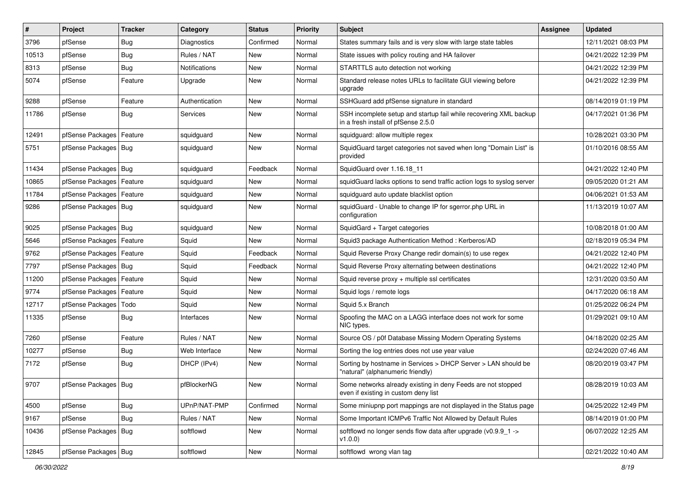| $\vert$ # | Project                | <b>Tracker</b> | Category             | <b>Status</b> | <b>Priority</b> | Subject                                                                                                  | Assignee | <b>Updated</b>      |
|-----------|------------------------|----------------|----------------------|---------------|-----------------|----------------------------------------------------------------------------------------------------------|----------|---------------------|
| 3796      | pfSense                | <b>Bug</b>     | Diagnostics          | Confirmed     | Normal          | States summary fails and is very slow with large state tables                                            |          | 12/11/2021 08:03 PM |
| 10513     | pfSense                | Bug            | Rules / NAT          | New           | Normal          | State issues with policy routing and HA failover                                                         |          | 04/21/2022 12:39 PM |
| 8313      | pfSense                | Bug            | <b>Notifications</b> | New           | Normal          | STARTTLS auto detection not working                                                                      |          | 04/21/2022 12:39 PM |
| 5074      | pfSense                | Feature        | Upgrade              | New           | Normal          | Standard release notes URLs to facilitate GUI viewing before<br>upgrade                                  |          | 04/21/2022 12:39 PM |
| 9288      | pfSense                | Feature        | Authentication       | New           | Normal          | SSHGuard add pfSense signature in standard                                                               |          | 08/14/2019 01:19 PM |
| 11786     | pfSense                | Bug            | Services             | New           | Normal          | SSH incomplete setup and startup fail while recovering XML backup<br>in a fresh install of pfSense 2.5.0 |          | 04/17/2021 01:36 PM |
| 12491     | pfSense Packages       | Feature        | squidguard           | New           | Normal          | squidquard: allow multiple regex                                                                         |          | 10/28/2021 03:30 PM |
| 5751      | pfSense Packages   Bug |                | squidguard           | New           | Normal          | SquidGuard target categories not saved when long "Domain List" is<br>provided                            |          | 01/10/2016 08:55 AM |
| 11434     | pfSense Packages   Bug |                | squidguard           | Feedback      | Normal          | SquidGuard over 1.16.18 11                                                                               |          | 04/21/2022 12:40 PM |
| 10865     | pfSense Packages       | Feature        | squidguard           | New           | Normal          | squidGuard lacks options to send traffic action logs to syslog server                                    |          | 09/05/2020 01:21 AM |
| 11784     | pfSense Packages       | Feature        | squidguard           | New           | Normal          | squidguard auto update blacklist option                                                                  |          | 04/06/2021 01:53 AM |
| 9286      | pfSense Packages   Bug |                | squidguard           | New           | Normal          | squidGuard - Unable to change IP for sgerror.php URL in<br>configuration                                 |          | 11/13/2019 10:07 AM |
| 9025      | pfSense Packages   Bug |                | squidguard           | New           | Normal          | SquidGard + Target categories                                                                            |          | 10/08/2018 01:00 AM |
| 5646      | pfSense Packages       | Feature        | Squid                | New           | Normal          | Squid3 package Authentication Method: Kerberos/AD                                                        |          | 02/18/2019 05:34 PM |
| 9762      | pfSense Packages       | Feature        | Squid                | Feedback      | Normal          | Squid Reverse Proxy Change redir domain(s) to use regex                                                  |          | 04/21/2022 12:40 PM |
| 7797      | pfSense Packages   Bug |                | Squid                | Feedback      | Normal          | Squid Reverse Proxy alternating between destinations                                                     |          | 04/21/2022 12:40 PM |
| 11200     | pfSense Packages       | Feature        | Squid                | New           | Normal          | Squid reverse proxy + multiple ssl certificates                                                          |          | 12/31/2020 03:50 AM |
| 9774      | pfSense Packages       | Feature        | Squid                | New           | Normal          | Squid logs / remote logs                                                                                 |          | 04/17/2020 06:18 AM |
| 12717     | pfSense Packages       | Todo           | Squid                | New           | Normal          | Squid 5.x Branch                                                                                         |          | 01/25/2022 06:24 PM |
| 11335     | pfSense                | <b>Bug</b>     | Interfaces           | New           | Normal          | Spoofing the MAC on a LAGG interface does not work for some<br>NIC types.                                |          | 01/29/2021 09:10 AM |
| 7260      | pfSense                | Feature        | Rules / NAT          | <b>New</b>    | Normal          | Source OS / p0f Database Missing Modern Operating Systems                                                |          | 04/18/2020 02:25 AM |
| 10277     | pfSense                | <b>Bug</b>     | Web Interface        | New           | Normal          | Sorting the log entries does not use year value                                                          |          | 02/24/2020 07:46 AM |
| 7172      | pfSense                | Bug            | DHCP (IPv4)          | New           | Normal          | Sorting by hostname in Services > DHCP Server > LAN should be<br>"natural" (alphanumeric friendly)       |          | 08/20/2019 03:47 PM |
| 9707      | pfSense Packages   Bug |                | pfBlockerNG          | New           | Normal          | Some networks already existing in deny Feeds are not stopped<br>even if existing in custom deny list     |          | 08/28/2019 10:03 AM |
| 4500      | pfSense                | Bug            | UPnP/NAT-PMP         | Confirmed     | Normal          | Some miniupnp port mappings are not displayed in the Status page                                         |          | 04/25/2022 12:49 PM |
| 9167      | pfSense                | <b>Bug</b>     | Rules / NAT          | New           | Normal          | Some Important ICMPv6 Traffic Not Allowed by Default Rules                                               |          | 08/14/2019 01:00 PM |
| 10436     | pfSense Packages   Bug |                | softflowd            | New           | Normal          | softflowd no longer sends flow data after upgrade (v0.9.9_1 -><br>v1.0.0                                 |          | 06/07/2022 12:25 AM |
| 12845     | pfSense Packages   Bug |                | softflowd            | New           | Normal          | softflowd wrong vlan tag                                                                                 |          | 02/21/2022 10:40 AM |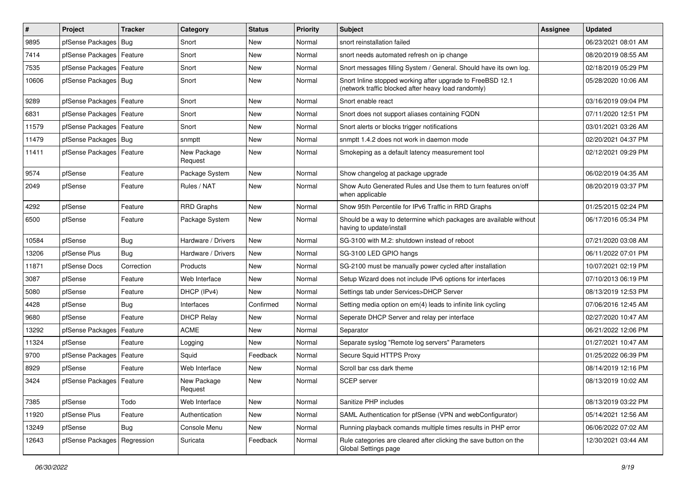| #     | Project                       | <b>Tracker</b> | Category               | <b>Status</b> | <b>Priority</b> | <b>Subject</b>                                                                                                    | <b>Assignee</b> | <b>Updated</b>      |
|-------|-------------------------------|----------------|------------------------|---------------|-----------------|-------------------------------------------------------------------------------------------------------------------|-----------------|---------------------|
| 9895  | pfSense Packages              | Bug            | Snort                  | New           | Normal          | snort reinstallation failed                                                                                       |                 | 06/23/2021 08:01 AM |
| 7414  | pfSense Packages   Feature    |                | Snort                  | New           | Normal          | snort needs automated refresh on ip change                                                                        |                 | 08/20/2019 08:55 AM |
| 7535  | pfSense Packages              | Feature        | Snort                  | New           | Normal          | Snort messages filling System / General. Should have its own log.                                                 |                 | 02/18/2019 05:29 PM |
| 10606 | pfSense Packages   Bug        |                | Snort                  | New           | Normal          | Snort Inline stopped working after upgrade to FreeBSD 12.1<br>(network traffic blocked after heavy load randomly) |                 | 05/28/2020 10:06 AM |
| 9289  | pfSense Packages   Feature    |                | Snort                  | New           | Normal          | Snort enable react                                                                                                |                 | 03/16/2019 09:04 PM |
| 6831  | pfSense Packages   Feature    |                | Snort                  | New           | Normal          | Snort does not support aliases containing FQDN                                                                    |                 | 07/11/2020 12:51 PM |
| 11579 | pfSense Packages              | Feature        | Snort                  | New           | Normal          | Snort alerts or blocks trigger notifications                                                                      |                 | 03/01/2021 03:26 AM |
| 11479 | pfSense Packages   Bug        |                | snmptt                 | New           | Normal          | snmptt 1.4.2 does not work in daemon mode                                                                         |                 | 02/20/2021 04:37 PM |
| 11411 | pfSense Packages   Feature    |                | New Package<br>Request | New           | Normal          | Smokeping as a default latency measurement tool                                                                   |                 | 02/12/2021 09:29 PM |
| 9574  | pfSense                       | Feature        | Package System         | <b>New</b>    | Normal          | Show changelog at package upgrade                                                                                 |                 | 06/02/2019 04:35 AM |
| 2049  | pfSense                       | Feature        | Rules / NAT            | <b>New</b>    | Normal          | Show Auto Generated Rules and Use them to turn features on/off<br>when applicable                                 |                 | 08/20/2019 03:37 PM |
| 4292  | pfSense                       | Feature        | <b>RRD Graphs</b>      | <b>New</b>    | Normal          | Show 95th Percentile for IPv6 Traffic in RRD Graphs                                                               |                 | 01/25/2015 02:24 PM |
| 6500  | pfSense                       | Feature        | Package System         | <b>New</b>    | Normal          | Should be a way to determine which packages are available without<br>having to update/install                     |                 | 06/17/2016 05:34 PM |
| 10584 | pfSense                       | Bug            | Hardware / Drivers     | <b>New</b>    | Normal          | SG-3100 with M.2: shutdown instead of reboot                                                                      |                 | 07/21/2020 03:08 AM |
| 13206 | pfSense Plus                  | Bug            | Hardware / Drivers     | <b>New</b>    | Normal          | SG-3100 LED GPIO hangs                                                                                            |                 | 06/11/2022 07:01 PM |
| 11871 | pfSense Docs                  | Correction     | Products               | New           | Normal          | SG-2100 must be manually power cycled after installation                                                          |                 | 10/07/2021 02:19 PM |
| 3087  | pfSense                       | Feature        | Web Interface          | <b>New</b>    | Normal          | Setup Wizard does not include IPv6 options for interfaces                                                         |                 | 07/10/2013 06:19 PM |
| 5080  | pfSense                       | Feature        | DHCP (IPv4)            | New           | Normal          | Settings tab under Services>DHCP Server                                                                           |                 | 08/13/2019 12:53 PM |
| 4428  | pfSense                       | Bug            | Interfaces             | Confirmed     | Normal          | Setting media option on em(4) leads to infinite link cycling                                                      |                 | 07/06/2016 12:45 AM |
| 9680  | pfSense                       | Feature        | <b>DHCP Relay</b>      | <b>New</b>    | Normal          | Seperate DHCP Server and relay per interface                                                                      |                 | 02/27/2020 10:47 AM |
| 13292 | pfSense Packages              | Feature        | <b>ACME</b>            | New           | Normal          | Separator                                                                                                         |                 | 06/21/2022 12:06 PM |
| 11324 | pfSense                       | Feature        | Logging                | New           | Normal          | Separate syslog "Remote log servers" Parameters                                                                   |                 | 01/27/2021 10:47 AM |
| 9700  | pfSense Packages              | Feature        | Squid                  | Feedback      | Normal          | Secure Squid HTTPS Proxy                                                                                          |                 | 01/25/2022 06:39 PM |
| 8929  | pfSense                       | Feature        | Web Interface          | New           | Normal          | Scroll bar css dark theme                                                                                         |                 | 08/14/2019 12:16 PM |
| 3424  | pfSense Packages   Feature    |                | New Package<br>Request | New           | Normal          | <b>SCEP</b> server                                                                                                |                 | 08/13/2019 10:02 AM |
| 7385  | pfSense                       | Todo           | Web Interface          | <b>New</b>    | Normal          | Sanitize PHP includes                                                                                             |                 | 08/13/2019 03:22 PM |
| 11920 | pfSense Plus                  | Feature        | Authentication         | <b>New</b>    | Normal          | SAML Authentication for pfSense (VPN and webConfigurator)                                                         |                 | 05/14/2021 12:56 AM |
| 13249 | pfSense                       | <b>Bug</b>     | Console Menu           | New           | Normal          | Running playback comands multiple times results in PHP error                                                      |                 | 06/06/2022 07:02 AM |
| 12643 | pfSense Packages   Regression |                | Suricata               | Feedback      | Normal          | Rule categories are cleared after clicking the save button on the<br>Global Settings page                         |                 | 12/30/2021 03:44 AM |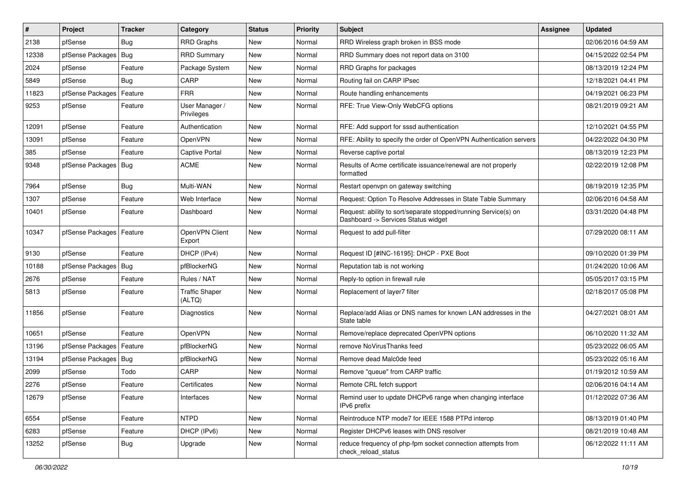| #     | Project                | <b>Tracker</b> | Category                        | <b>Status</b> | <b>Priority</b> | Subject                                                                                                | <b>Assignee</b> | <b>Updated</b>      |
|-------|------------------------|----------------|---------------------------------|---------------|-----------------|--------------------------------------------------------------------------------------------------------|-----------------|---------------------|
| 2138  | pfSense                | Bug            | <b>RRD Graphs</b>               | New           | Normal          | RRD Wireless graph broken in BSS mode                                                                  |                 | 02/06/2016 04:59 AM |
| 12338 | pfSense Packages   Bug |                | <b>RRD Summary</b>              | <b>New</b>    | Normal          | RRD Summary does not report data on 3100                                                               |                 | 04/15/2022 02:54 PM |
| 2024  | pfSense                | Feature        | Package System                  | New           | Normal          | RRD Graphs for packages                                                                                |                 | 08/13/2019 12:24 PM |
| 5849  | pfSense                | Bug            | CARP                            | <b>New</b>    | Normal          | Routing fail on CARP IPsec                                                                             |                 | 12/18/2021 04:41 PM |
| 11823 | pfSense Packages       | Feature        | <b>FRR</b>                      | <b>New</b>    | Normal          | Route handling enhancements                                                                            |                 | 04/19/2021 06:23 PM |
| 9253  | pfSense                | Feature        | User Manager /<br>Privileges    | New           | Normal          | RFE: True View-Only WebCFG options                                                                     |                 | 08/21/2019 09:21 AM |
| 12091 | pfSense                | Feature        | Authentication                  | <b>New</b>    | Normal          | RFE: Add support for sssd authentication                                                               |                 | 12/10/2021 04:55 PM |
| 13091 | pfSense                | Feature        | OpenVPN                         | New           | Normal          | RFE: Ability to specify the order of OpenVPN Authentication servers                                    |                 | 04/22/2022 04:30 PM |
| 385   | pfSense                | Feature        | <b>Captive Portal</b>           | New           | Normal          | Reverse captive portal                                                                                 |                 | 08/13/2019 12:23 PM |
| 9348  | pfSense Packages   Bug |                | <b>ACME</b>                     | New           | Normal          | Results of Acme certificate issuance/renewal are not properly<br>formatted                             |                 | 02/22/2019 12:08 PM |
| 7964  | pfSense                | Bug            | Multi-WAN                       | <b>New</b>    | Normal          | Restart openvpn on gateway switching                                                                   |                 | 08/19/2019 12:35 PM |
| 1307  | pfSense                | Feature        | Web Interface                   | New           | Normal          | Request: Option To Resolve Addresses in State Table Summary                                            |                 | 02/06/2016 04:58 AM |
| 10401 | pfSense                | Feature        | Dashboard                       | New           | Normal          | Request: ability to sort/separate stopped/running Service(s) on<br>Dashboard -> Services Status widget |                 | 03/31/2020 04:48 PM |
| 10347 | pfSense Packages       | Feature        | OpenVPN Client<br>Export        | <b>New</b>    | Normal          | Request to add pull-filter                                                                             |                 | 07/29/2020 08:11 AM |
| 9130  | pfSense                | Feature        | DHCP (IPv4)                     | New           | Normal          | Request ID [#INC-16195]: DHCP - PXE Boot                                                               |                 | 09/10/2020 01:39 PM |
| 10188 | pfSense Packages       | Bug            | pfBlockerNG                     | <b>New</b>    | Normal          | Reputation tab is not working                                                                          |                 | 01/24/2020 10:06 AM |
| 2676  | pfSense                | Feature        | Rules / NAT                     | <b>New</b>    | Normal          | Reply-to option in firewall rule                                                                       |                 | 05/05/2017 03:15 PM |
| 5813  | pfSense                | Feature        | <b>Traffic Shaper</b><br>(ALTQ) | New           | Normal          | Replacement of layer7 filter                                                                           |                 | 02/18/2017 05:08 PM |
| 11856 | pfSense                | Feature        | Diagnostics                     | <b>New</b>    | Normal          | Replace/add Alias or DNS names for known LAN addresses in the<br>State table                           |                 | 04/27/2021 08:01 AM |
| 10651 | pfSense                | Feature        | OpenVPN                         | <b>New</b>    | Normal          | Remove/replace deprecated OpenVPN options                                                              |                 | 06/10/2020 11:32 AM |
| 13196 | pfSense Packages       | Feature        | pfBlockerNG                     | New           | Normal          | remove NoVirusThanks feed                                                                              |                 | 05/23/2022 06:05 AM |
| 13194 | pfSense Packages       | Bug            | pfBlockerNG                     | <b>New</b>    | Normal          | Remove dead Malc0de feed                                                                               |                 | 05/23/2022 05:16 AM |
| 2099  | pfSense                | Todo           | CARP                            | New           | Normal          | Remove "queue" from CARP traffic                                                                       |                 | 01/19/2012 10:59 AM |
| 2276  | pfSense                | Feature        | Certificates                    | New           | Normal          | Remote CRL fetch support                                                                               |                 | 02/06/2016 04:14 AM |
| 12679 | pfSense                | Feature        | Interfaces                      | New           | Normal          | Remind user to update DHCPv6 range when changing interface<br>IPv6 prefix                              |                 | 01/12/2022 07:36 AM |
| 6554  | pfSense                | Feature        | <b>NTPD</b>                     | New           | Normal          | Reintroduce NTP mode7 for IEEE 1588 PTPd interop                                                       |                 | 08/13/2019 01:40 PM |
| 6283  | pfSense                | Feature        | DHCP (IPv6)                     | New           | Normal          | Register DHCPv6 leases with DNS resolver                                                               |                 | 08/21/2019 10:48 AM |
| 13252 | pfSense                | <b>Bug</b>     | Upgrade                         | New           | Normal          | reduce frequency of php-fpm socket connection attempts from<br>check_reload_status                     |                 | 06/12/2022 11:11 AM |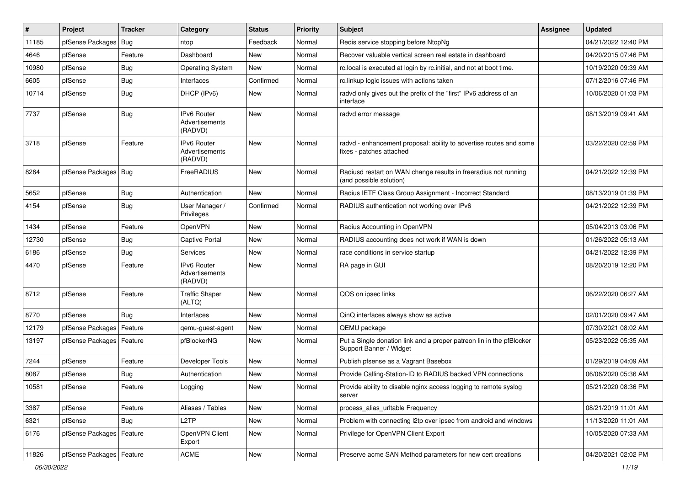| #     | Project                | <b>Tracker</b> | Category                                        | <b>Status</b> | <b>Priority</b> | Subject                                                                                         | <b>Assignee</b> | <b>Updated</b>      |
|-------|------------------------|----------------|-------------------------------------------------|---------------|-----------------|-------------------------------------------------------------------------------------------------|-----------------|---------------------|
| 11185 | pfSense Packages       | Bug            | ntop                                            | Feedback      | Normal          | Redis service stopping before NtopNg                                                            |                 | 04/21/2022 12:40 PM |
| 4646  | pfSense                | Feature        | Dashboard                                       | <b>New</b>    | Normal          | Recover valuable vertical screen real estate in dashboard                                       |                 | 04/20/2015 07:46 PM |
| 10980 | pfSense                | Bug            | <b>Operating System</b>                         | New           | Normal          | rc. local is executed at login by rc. initial, and not at boot time.                            |                 | 10/19/2020 09:39 AM |
| 6605  | pfSense                | <b>Bug</b>     | Interfaces                                      | Confirmed     | Normal          | rc.linkup logic issues with actions taken                                                       |                 | 07/12/2016 07:46 PM |
| 10714 | pfSense                | <b>Bug</b>     | DHCP (IPv6)                                     | <b>New</b>    | Normal          | radvd only gives out the prefix of the "first" IPv6 address of an<br>interface                  |                 | 10/06/2020 01:03 PM |
| 7737  | pfSense                | Bug            | IPv6 Router<br><b>Advertisements</b><br>(RADVD) | <b>New</b>    | Normal          | radvd error message                                                                             |                 | 08/13/2019 09:41 AM |
| 3718  | pfSense                | Feature        | IPv6 Router<br>Advertisements<br>(RADVD)        | <b>New</b>    | Normal          | radvd - enhancement proposal: ability to advertise routes and some<br>fixes - patches attached  |                 | 03/22/2020 02:59 PM |
| 8264  | pfSense Packages   Bug |                | FreeRADIUS                                      | <b>New</b>    | Normal          | Radiusd restart on WAN change results in freeradius not running<br>(and possible solution)      |                 | 04/21/2022 12:39 PM |
| 5652  | pfSense                | Bug            | Authentication                                  | <b>New</b>    | Normal          | Radius IETF Class Group Assignment - Incorrect Standard                                         |                 | 08/13/2019 01:39 PM |
| 4154  | pfSense                | Bug            | User Manager /<br>Privileges                    | Confirmed     | Normal          | RADIUS authentication not working over IPv6                                                     |                 | 04/21/2022 12:39 PM |
| 1434  | pfSense                | Feature        | OpenVPN                                         | <b>New</b>    | Normal          | Radius Accounting in OpenVPN                                                                    |                 | 05/04/2013 03:06 PM |
| 12730 | pfSense                | Bug            | <b>Captive Portal</b>                           | <b>New</b>    | Normal          | RADIUS accounting does not work if WAN is down                                                  |                 | 01/26/2022 05:13 AM |
| 6186  | pfSense                | Bug            | Services                                        | New           | Normal          | race conditions in service startup                                                              |                 | 04/21/2022 12:39 PM |
| 4470  | pfSense                | Feature        | <b>IPv6 Router</b><br>Advertisements<br>(RADVD) | <b>New</b>    | Normal          | RA page in GUI                                                                                  |                 | 08/20/2019 12:20 PM |
| 8712  | pfSense                | Feature        | <b>Traffic Shaper</b><br>(ALTQ)                 | <b>New</b>    | Normal          | QOS on ipsec links                                                                              |                 | 06/22/2020 06:27 AM |
| 8770  | pfSense                | Bug            | Interfaces                                      | <b>New</b>    | Normal          | QinQ interfaces always show as active                                                           |                 | 02/01/2020 09:47 AM |
| 12179 | pfSense Packages       | Feature        | qemu-guest-agent                                | <b>New</b>    | Normal          | QEMU package                                                                                    |                 | 07/30/2021 08:02 AM |
| 13197 | pfSense Packages       | Feature        | pfBlockerNG                                     | New           | Normal          | Put a Single donation link and a proper patreon lin in the pfBlocker<br>Support Banner / Widget |                 | 05/23/2022 05:35 AM |
| 7244  | pfSense                | Feature        | Developer Tools                                 | New           | Normal          | Publish pfsense as a Vagrant Basebox                                                            |                 | 01/29/2019 04:09 AM |
| 8087  | pfSense                | Bug            | Authentication                                  | New           | Normal          | Provide Calling-Station-ID to RADIUS backed VPN connections                                     |                 | 06/06/2020 05:36 AM |
| 10581 | pfSense                | Feature        | Logging                                         | New           | Normal          | Provide ability to disable nginx access logging to remote syslog<br>server                      |                 | 05/21/2020 08:36 PM |
| 3387  | pfSense                | Feature        | Aliases / Tables                                | New           | Normal          | process alias urltable Frequency                                                                |                 | 08/21/2019 11:01 AM |
| 6321  | pfSense                | Bug            | L <sub>2</sub> TP                               | New           | Normal          | Problem with connecting I2tp over ipsec from android and windows                                |                 | 11/13/2020 11:01 AM |
| 6176  | pfSense Packages       | Feature        | OpenVPN Client<br>Export                        | New           | Normal          | Privilege for OpenVPN Client Export                                                             |                 | 10/05/2020 07:33 AM |
| 11826 | pfSense Packages       | Feature        | ACME                                            | New           | Normal          | Preserve acme SAN Method parameters for new cert creations                                      |                 | 04/20/2021 02:02 PM |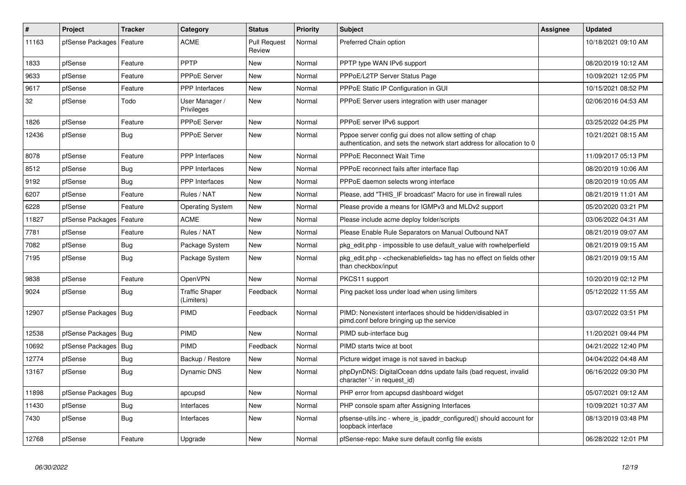| $\vert$ # | Project          | <b>Tracker</b> | Category                            | <b>Status</b>                 | <b>Priority</b> | <b>Subject</b>                                                                                                                   | Assignee | <b>Updated</b>      |
|-----------|------------------|----------------|-------------------------------------|-------------------------------|-----------------|----------------------------------------------------------------------------------------------------------------------------------|----------|---------------------|
| 11163     | pfSense Packages | Feature        | <b>ACME</b>                         | <b>Pull Request</b><br>Review | Normal          | Preferred Chain option                                                                                                           |          | 10/18/2021 09:10 AM |
| 1833      | pfSense          | Feature        | PPTP                                | New                           | Normal          | PPTP type WAN IPv6 support                                                                                                       |          | 08/20/2019 10:12 AM |
| 9633      | pfSense          | Feature        | PPPoE Server                        | New                           | Normal          | PPPoE/L2TP Server Status Page                                                                                                    |          | 10/09/2021 12:05 PM |
| 9617      | pfSense          | Feature        | <b>PPP</b> Interfaces               | New                           | Normal          | PPPoE Static IP Configuration in GUI                                                                                             |          | 10/15/2021 08:52 PM |
| 32        | pfSense          | Todo           | User Manager /<br>Privileges        | New                           | Normal          | PPPoE Server users integration with user manager                                                                                 |          | 02/06/2016 04:53 AM |
| 1826      | pfSense          | Feature        | PPPoE Server                        | <b>New</b>                    | Normal          | PPPoE server IPv6 support                                                                                                        |          | 03/25/2022 04:25 PM |
| 12436     | pfSense          | Bug            | <b>PPPoE Server</b>                 | <b>New</b>                    | Normal          | Pppoe server config gui does not allow setting of chap<br>authentication, and sets the network start address for allocation to 0 |          | 10/21/2021 08:15 AM |
| 8078      | pfSense          | Feature        | PPP Interfaces                      | <b>New</b>                    | Normal          | <b>PPPoE Reconnect Wait Time</b>                                                                                                 |          | 11/09/2017 05:13 PM |
| 8512      | pfSense          | Bug            | PPP Interfaces                      | <b>New</b>                    | Normal          | PPPoE reconnect fails after interface flap                                                                                       |          | 08/20/2019 10:06 AM |
| 9192      | pfSense          | Bug            | PPP Interfaces                      | New                           | Normal          | PPPoE daemon selects wrong interface                                                                                             |          | 08/20/2019 10:05 AM |
| 6207      | pfSense          | Feature        | Rules / NAT                         | New                           | Normal          | Please, add "THIS_IF broadcast" Macro for use in firewall rules                                                                  |          | 08/21/2019 11:01 AM |
| 6228      | pfSense          | Feature        | <b>Operating System</b>             | New                           | Normal          | Please provide a means for IGMPv3 and MLDv2 support                                                                              |          | 05/20/2020 03:21 PM |
| 11827     | pfSense Packages | Feature        | <b>ACME</b>                         | New                           | Normal          | Please include acme deploy folder/scripts                                                                                        |          | 03/06/2022 04:31 AM |
| 7781      | pfSense          | Feature        | Rules / NAT                         | New                           | Normal          | Please Enable Rule Separators on Manual Outbound NAT                                                                             |          | 08/21/2019 09:07 AM |
| 7082      | pfSense          | Bug            | Package System                      | New                           | Normal          | pkg_edit.php - impossible to use default_value with rowhelperfield                                                               |          | 08/21/2019 09:15 AM |
| 7195      | pfSense          | Bug            | Package System                      | New                           | Normal          | pkg edit.php - < checkenable fields > tag has no effect on fields other<br>than checkbox/input                                   |          | 08/21/2019 09:15 AM |
| 9838      | pfSense          | Feature        | OpenVPN                             | <b>New</b>                    | Normal          | PKCS11 support                                                                                                                   |          | 10/20/2019 02:12 PM |
| 9024      | pfSense          | Bug            | <b>Traffic Shaper</b><br>(Limiters) | Feedback                      | Normal          | Ping packet loss under load when using limiters                                                                                  |          | 05/12/2022 11:55 AM |
| 12907     | pfSense Packages | Bug            | PIMD                                | Feedback                      | Normal          | PIMD: Nonexistent interfaces should be hidden/disabled in<br>pimd.conf before bringing up the service                            |          | 03/07/2022 03:51 PM |
| 12538     | pfSense Packages | <b>Bug</b>     | PIMD                                | New                           | Normal          | PIMD sub-interface bug                                                                                                           |          | 11/20/2021 09:44 PM |
| 10692     | pfSense Packages | Bug            | PIMD                                | Feedback                      | Normal          | PIMD starts twice at boot                                                                                                        |          | 04/21/2022 12:40 PM |
| 12774     | pfSense          | <b>Bug</b>     | Backup / Restore                    | <b>New</b>                    | Normal          | Picture widget image is not saved in backup                                                                                      |          | 04/04/2022 04:48 AM |
| 13167     | pfSense          | Bug            | Dynamic DNS                         | <b>New</b>                    | Normal          | phpDynDNS: DigitalOcean ddns update fails (bad request, invalid<br>character '-' in request_id)                                  |          | 06/16/2022 09:30 PM |
| 11898     | pfSense Packages | Bug            | apcupsd                             | New                           | Normal          | PHP error from apcupsd dashboard widget                                                                                          |          | 05/07/2021 09:12 AM |
| 11430     | pfSense          | <b>Bug</b>     | Interfaces                          | New                           | Normal          | PHP console spam after Assigning Interfaces                                                                                      |          | 10/09/2021 10:37 AM |
| 7430      | pfSense          | <b>Bug</b>     | Interfaces                          | <b>New</b>                    | Normal          | pfsense-utils.inc - where is ipaddr configured() should account for<br>loopback interface                                        |          | 08/13/2019 03:48 PM |
| 12768     | pfSense          | Feature        | Upgrade                             | <b>New</b>                    | Normal          | pfSense-repo: Make sure default config file exists                                                                               |          | 06/28/2022 12:01 PM |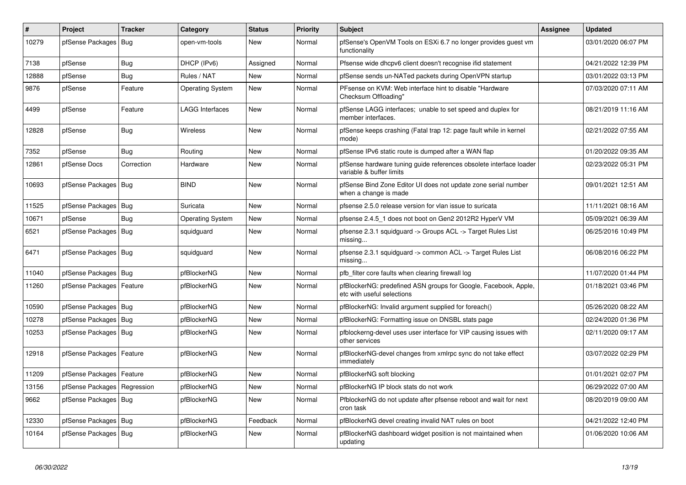| $\vert$ # | Project                | <b>Tracker</b> | Category                | <b>Status</b> | <b>Priority</b> | <b>Subject</b>                                                                                 | <b>Assignee</b> | <b>Updated</b>      |
|-----------|------------------------|----------------|-------------------------|---------------|-----------------|------------------------------------------------------------------------------------------------|-----------------|---------------------|
| 10279     | pfSense Packages       | Bug            | open-vm-tools           | <b>New</b>    | Normal          | pfSense's OpenVM Tools on ESXi 6.7 no longer provides quest vm<br>functionality                |                 | 03/01/2020 06:07 PM |
| 7138      | pfSense                | <b>Bug</b>     | DHCP (IPv6)             | Assigned      | Normal          | Pfsense wide dhcpv6 client doesn't recognise if id statement                                   |                 | 04/21/2022 12:39 PM |
| 12888     | pfSense                | Bug            | Rules / NAT             | New           | Normal          | pfSense sends un-NATed packets during OpenVPN startup                                          |                 | 03/01/2022 03:13 PM |
| 9876      | pfSense                | Feature        | <b>Operating System</b> | <b>New</b>    | Normal          | PFsense on KVM: Web interface hint to disable "Hardware"<br>Checksum Offloading"               |                 | 07/03/2020 07:11 AM |
| 4499      | pfSense                | Feature        | <b>LAGG Interfaces</b>  | <b>New</b>    | Normal          | pfSense LAGG interfaces; unable to set speed and duplex for<br>member interfaces.              |                 | 08/21/2019 11:16 AM |
| 12828     | pfSense                | <b>Bug</b>     | <b>Wireless</b>         | <b>New</b>    | Normal          | pfSense keeps crashing (Fatal trap 12: page fault while in kernel<br>mode)                     |                 | 02/21/2022 07:55 AM |
| 7352      | pfSense                | Bug            | Routing                 | New           | Normal          | pfSense IPv6 static route is dumped after a WAN flap                                           |                 | 01/20/2022 09:35 AM |
| 12861     | pfSense Docs           | Correction     | Hardware                | New           | Normal          | pfSense hardware tuning guide references obsolete interface loader<br>variable & buffer limits |                 | 02/23/2022 05:31 PM |
| 10693     | pfSense Packages   Bug |                | <b>BIND</b>             | <b>New</b>    | Normal          | pfSense Bind Zone Editor UI does not update zone serial number<br>when a change is made        |                 | 09/01/2021 12:51 AM |
| 11525     | pfSense Packages       | <b>Bug</b>     | Suricata                | <b>New</b>    | Normal          | pfsense 2.5.0 release version for vlan issue to suricata                                       |                 | 11/11/2021 08:16 AM |
| 10671     | pfSense                | Bug            | <b>Operating System</b> | <b>New</b>    | Normal          | pfsense 2.4.5 1 does not boot on Gen2 2012R2 HyperV VM                                         |                 | 05/09/2021 06:39 AM |
| 6521      | pfSense Packages   Bug |                | squidguard              | <b>New</b>    | Normal          | pfsense 2.3.1 squidguard -> Groups ACL -> Target Rules List<br>missing                         |                 | 06/25/2016 10:49 PM |
| 6471      | pfSense Packages   Bug |                | squidguard              | New           | Normal          | pfsense 2.3.1 squidguard -> common ACL -> Target Rules List<br>missing                         |                 | 06/08/2016 06:22 PM |
| 11040     | pfSense Packages   Bug |                | pfBlockerNG             | New           | Normal          | pfb filter core faults when clearing firewall log                                              |                 | 11/07/2020 01:44 PM |
| 11260     | pfSense Packages       | Feature        | pfBlockerNG             | New           | Normal          | pfBlockerNG: predefined ASN groups for Google, Facebook, Apple,<br>etc with useful selections  |                 | 01/18/2021 03:46 PM |
| 10590     | pfSense Packages       | <b>Bug</b>     | pfBlockerNG             | New           | Normal          | pfBlockerNG: Invalid argument supplied for foreach()                                           |                 | 05/26/2020 08:22 AM |
| 10278     | pfSense Packages       | Bug            | pfBlockerNG             | New           | Normal          | pfBlockerNG: Formatting issue on DNSBL stats page                                              |                 | 02/24/2020 01:36 PM |
| 10253     | pfSense Packages   Bug |                | pfBlockerNG             | <b>New</b>    | Normal          | pfblockerng-devel uses user interface for VIP causing issues with<br>other services            |                 | 02/11/2020 09:17 AM |
| 12918     | pfSense Packages       | Feature        | pfBlockerNG             | New           | Normal          | pfBlockerNG-devel changes from xmlrpc sync do not take effect<br>immediately                   |                 | 03/07/2022 02:29 PM |
| 11209     | pfSense Packages       | Feature        | pfBlockerNG             | New           | Normal          | pfBlockerNG soft blocking                                                                      |                 | 01/01/2021 02:07 PM |
| 13156     | pfSense Packages       | Regression     | pfBlockerNG             | New           | Normal          | pfBlockerNG IP block stats do not work                                                         |                 | 06/29/2022 07:00 AM |
| 9662      | pfSense Packages       | <b>Bug</b>     | pfBlockerNG             | New           | Normal          | PfblockerNG do not update after pfsense reboot and wait for next<br>cron task                  |                 | 08/20/2019 09:00 AM |
| 12330     | pfSense Packages       | Bug            | pfBlockerNG             | Feedback      | Normal          | pfBlockerNG devel creating invalid NAT rules on boot                                           |                 | 04/21/2022 12:40 PM |
| 10164     | pfSense Packages   Bug |                | pfBlockerNG             | <b>New</b>    | Normal          | pfBlockerNG dashboard widget position is not maintained when<br>updating                       |                 | 01/06/2020 10:06 AM |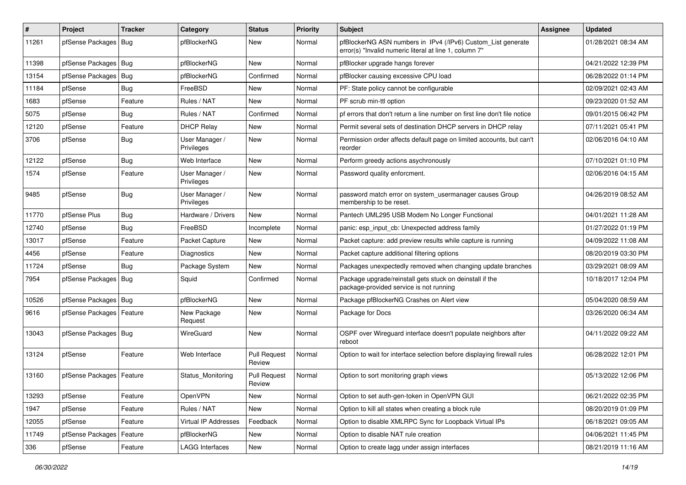| #     | Project                    | <b>Tracker</b> | Category                     | <b>Status</b>                 | <b>Priority</b> | Subject                                                                                                                | <b>Assignee</b> | <b>Updated</b>      |
|-------|----------------------------|----------------|------------------------------|-------------------------------|-----------------|------------------------------------------------------------------------------------------------------------------------|-----------------|---------------------|
| 11261 | pfSense Packages           | Bug            | pfBlockerNG                  | New                           | Normal          | pfBlockerNG ASN numbers in IPv4 (/IPv6) Custom_List generate<br>error(s) "Invalid numeric literal at line 1, column 7" |                 | 01/28/2021 08:34 AM |
| 11398 | pfSense Packages           | Bug            | pfBlockerNG                  | New                           | Normal          | pfBlocker upgrade hangs forever                                                                                        |                 | 04/21/2022 12:39 PM |
| 13154 | pfSense Packages   Bug     |                | pfBlockerNG                  | Confirmed                     | Normal          | pfBlocker causing excessive CPU load                                                                                   |                 | 06/28/2022 01:14 PM |
| 11184 | pfSense                    | <b>Bug</b>     | FreeBSD                      | New                           | Normal          | PF: State policy cannot be configurable                                                                                |                 | 02/09/2021 02:43 AM |
| 1683  | pfSense                    | Feature        | Rules / NAT                  | New                           | Normal          | PF scrub min-ttl option                                                                                                |                 | 09/23/2020 01:52 AM |
| 5075  | pfSense                    | Bug            | Rules / NAT                  | Confirmed                     | Normal          | pf errors that don't return a line number on first line don't file notice                                              |                 | 09/01/2015 06:42 PM |
| 12120 | pfSense                    | Feature        | <b>DHCP Relav</b>            | <b>New</b>                    | Normal          | Permit several sets of destination DHCP servers in DHCP relay                                                          |                 | 07/11/2021 05:41 PM |
| 3706  | pfSense                    | Bug            | User Manager /<br>Privileges | New                           | Normal          | Permission order affects default page on limited accounts, but can't<br>reorder                                        |                 | 02/06/2016 04:10 AM |
| 12122 | pfSense                    | Bug            | Web Interface                | <b>New</b>                    | Normal          | Perform greedy actions asychronously                                                                                   |                 | 07/10/2021 01:10 PM |
| 1574  | pfSense                    | Feature        | User Manager /<br>Privileges | New                           | Normal          | Password quality enforcment.                                                                                           |                 | 02/06/2016 04:15 AM |
| 9485  | pfSense                    | Bug            | User Manager /<br>Privileges | New                           | Normal          | password match error on system_usermanager causes Group<br>membership to be reset.                                     |                 | 04/26/2019 08:52 AM |
| 11770 | pfSense Plus               | Bug            | Hardware / Drivers           | <b>New</b>                    | Normal          | Pantech UML295 USB Modem No Longer Functional                                                                          |                 | 04/01/2021 11:28 AM |
| 12740 | pfSense                    | <b>Bug</b>     | FreeBSD                      | Incomplete                    | Normal          | panic: esp input cb: Unexpected address family                                                                         |                 | 01/27/2022 01:19 PM |
| 13017 | pfSense                    | Feature        | Packet Capture               | <b>New</b>                    | Normal          | Packet capture: add preview results while capture is running                                                           |                 | 04/09/2022 11:08 AM |
| 4456  | pfSense                    | Feature        | Diagnostics                  | New                           | Normal          | Packet capture additional filtering options                                                                            |                 | 08/20/2019 03:30 PM |
| 11724 | pfSense                    | Bug            | Package System               | New                           | Normal          | Packages unexpectedly removed when changing update branches                                                            |                 | 03/29/2021 08:09 AM |
| 7954  | pfSense Packages           | Bug            | Squid                        | Confirmed                     | Normal          | Package upgrade/reinstall gets stuck on deinstall if the<br>package-provided service is not running                    |                 | 10/18/2017 12:04 PM |
| 10526 | pfSense Packages   Bug     |                | pfBlockerNG                  | <b>New</b>                    | Normal          | Package pfBlockerNG Crashes on Alert view                                                                              |                 | 05/04/2020 08:59 AM |
| 9616  | pfSense Packages           | Feature        | New Package<br>Request       | <b>New</b>                    | Normal          | Package for Docs                                                                                                       |                 | 03/26/2020 06:34 AM |
| 13043 | pfSense Packages   Bug     |                | WireGuard                    | New                           | Normal          | OSPF over Wireguard interface doesn't populate neighbors after<br>reboot                                               |                 | 04/11/2022 09:22 AM |
| 13124 | pfSense                    | Feature        | Web Interface                | <b>Pull Request</b><br>Review | Normal          | Option to wait for interface selection before displaying firewall rules                                                |                 | 06/28/2022 12:01 PM |
| 13160 | pfSense Packages   Feature |                | Status Monitoring            | <b>Pull Request</b><br>Review | Normal          | Option to sort monitoring graph views                                                                                  |                 | 05/13/2022 12:06 PM |
| 13293 | pfSense                    | Feature        | OpenVPN                      | New                           | Normal          | Option to set auth-gen-token in OpenVPN GUI                                                                            |                 | 06/21/2022 02:35 PM |
| 1947  | pfSense                    | Feature        | Rules / NAT                  | New                           | Normal          | Option to kill all states when creating a block rule                                                                   |                 | 08/20/2019 01:09 PM |
| 12055 | pfSense                    | Feature        | Virtual IP Addresses         | Feedback                      | Normal          | Option to disable XMLRPC Sync for Loopback Virtual IPs                                                                 |                 | 06/18/2021 09:05 AM |
| 11749 | pfSense Packages           | Feature        | pfBlockerNG                  | New                           | Normal          | Option to disable NAT rule creation                                                                                    |                 | 04/06/2021 11:45 PM |
| 336   | pfSense                    | Feature        | LAGG Interfaces              | New                           | Normal          | Option to create lagg under assign interfaces                                                                          |                 | 08/21/2019 11:16 AM |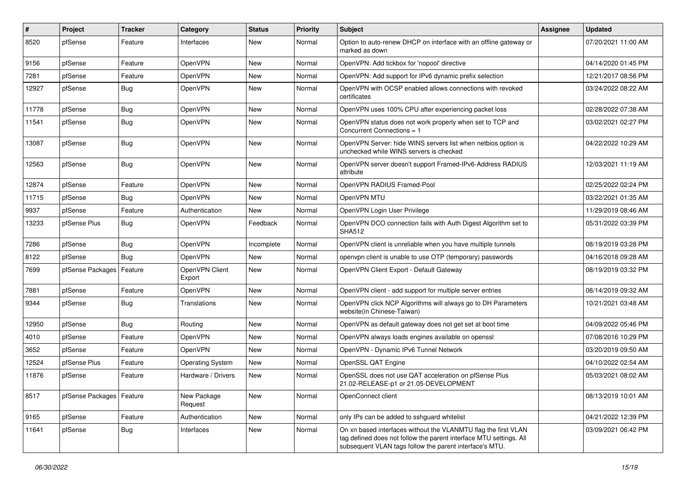| #     | Project                    | <b>Tracker</b> | Category                 | <b>Status</b> | <b>Priority</b> | Subject                                                                                                                                                                                         | <b>Assignee</b> | <b>Updated</b>      |
|-------|----------------------------|----------------|--------------------------|---------------|-----------------|-------------------------------------------------------------------------------------------------------------------------------------------------------------------------------------------------|-----------------|---------------------|
| 8520  | pfSense                    | Feature        | Interfaces               | New           | Normal          | Option to auto-renew DHCP on interface with an offline gateway or<br>marked as down                                                                                                             |                 | 07/20/2021 11:00 AM |
| 9156  | pfSense                    | Feature        | OpenVPN                  | New           | Normal          | OpenVPN: Add tickbox for 'nopool' directive                                                                                                                                                     |                 | 04/14/2020 01:45 PM |
| 7281  | pfSense                    | Feature        | OpenVPN                  | New           | Normal          | OpenVPN: Add support for IPv6 dynamic prefix selection                                                                                                                                          |                 | 12/21/2017 08:56 PM |
| 12927 | pfSense                    | Bug            | OpenVPN                  | <b>New</b>    | Normal          | OpenVPN with OCSP enabled allows connections with revoked<br>certificates                                                                                                                       |                 | 03/24/2022 08:22 AM |
| 11778 | pfSense                    | Bug            | OpenVPN                  | New           | Normal          | OpenVPN uses 100% CPU after experiencing packet loss                                                                                                                                            |                 | 02/28/2022 07:38 AM |
| 11541 | pfSense                    | Bug            | OpenVPN                  | <b>New</b>    | Normal          | OpenVPN status does not work properly when set to TCP and<br>Concurrent Connections = 1                                                                                                         |                 | 03/02/2021 02:27 PM |
| 13087 | pfSense                    | Bug            | OpenVPN                  | <b>New</b>    | Normal          | OpenVPN Server: hide WINS servers list when netbios option is<br>unchecked while WINS servers is checked                                                                                        |                 | 04/22/2022 10:29 AM |
| 12563 | pfSense                    | Bug            | OpenVPN                  | <b>New</b>    | Normal          | OpenVPN server doesn't support Framed-IPv6-Address RADIUS<br>attribute                                                                                                                          |                 | 12/03/2021 11:19 AM |
| 12874 | pfSense                    | Feature        | OpenVPN                  | New           | Normal          | OpenVPN RADIUS Framed-Pool                                                                                                                                                                      |                 | 02/25/2022 02:24 PM |
| 11715 | pfSense                    | Bug            | OpenVPN                  | New           | Normal          | OpenVPN MTU                                                                                                                                                                                     |                 | 03/22/2021 01:35 AM |
| 9937  | pfSense                    | Feature        | Authentication           | <b>New</b>    | Normal          | OpenVPN Login User Privilege                                                                                                                                                                    |                 | 11/29/2019 08:46 AM |
| 13233 | pfSense Plus               | <b>Bug</b>     | OpenVPN                  | Feedback      | Normal          | OpenVPN DCO connection fails with Auth Digest Algorithm set to<br><b>SHA512</b>                                                                                                                 |                 | 05/31/2022 03:39 PM |
| 7286  | pfSense                    | Bug            | OpenVPN                  | Incomplete    | Normal          | OpenVPN client is unreliable when you have multiple tunnels                                                                                                                                     |                 | 08/19/2019 03:28 PM |
| 8122  | pfSense                    | Bug            | OpenVPN                  | <b>New</b>    | Normal          | openypn client is unable to use OTP (temporary) passwords                                                                                                                                       |                 | 04/16/2018 09:28 AM |
| 7699  | pfSense Packages           | Feature        | OpenVPN Client<br>Export | <b>New</b>    | Normal          | OpenVPN Client Export - Default Gateway                                                                                                                                                         |                 | 08/19/2019 03:32 PM |
| 7881  | pfSense                    | Feature        | OpenVPN                  | <b>New</b>    | Normal          | OpenVPN client - add support for multiple server entries                                                                                                                                        |                 | 08/14/2019 09:32 AM |
| 9344  | pfSense                    | Bug            | Translations             | <b>New</b>    | Normal          | OpenVPN click NCP Algorithms will always go to DH Parameters<br>website(in Chinese-Taiwan)                                                                                                      |                 | 10/21/2021 03:48 AM |
| 12950 | pfSense                    | Bug            | Routing                  | <b>New</b>    | Normal          | OpenVPN as default gateway does not get set at boot time                                                                                                                                        |                 | 04/09/2022 05:46 PM |
| 4010  | pfSense                    | Feature        | OpenVPN                  | <b>New</b>    | Normal          | OpenVPN always loads engines available on openssl                                                                                                                                               |                 | 07/08/2016 10:29 PM |
| 3652  | pfSense                    | Feature        | OpenVPN                  | New           | Normal          | OpenVPN - Dynamic IPv6 Tunnel Network                                                                                                                                                           |                 | 03/20/2019 09:50 AM |
| 12524 | pfSense Plus               | Feature        | <b>Operating System</b>  | <b>New</b>    | Normal          | OpenSSL QAT Engine                                                                                                                                                                              |                 | 04/10/2022 02:54 AM |
| 11876 | pfSense                    | Feature        | Hardware / Drivers       | New           | Normal          | OpenSSL does not use QAT acceleration on pfSense Plus<br>21.02-RELEASE-p1 or 21.05-DEVELOPMENT                                                                                                  |                 | 05/03/2021 08:02 AM |
| 8517  | pfSense Packages   Feature |                | New Package<br>Request   | New           | Normal          | OpenConnect client                                                                                                                                                                              |                 | 08/13/2019 10:01 AM |
| 9165  | pfSense                    | Feature        | Authentication           | New           | Normal          | only IPs can be added to sshguard whitelist                                                                                                                                                     |                 | 04/21/2022 12:39 PM |
| 11641 | pfSense                    | Bug            | Interfaces               | New           | Normal          | On xn based interfaces without the VLANMTU flag the first VLAN<br>tag defined does not follow the parent interface MTU settings. All<br>subsequent VLAN tags follow the parent interface's MTU. |                 | 03/09/2021 06:42 PM |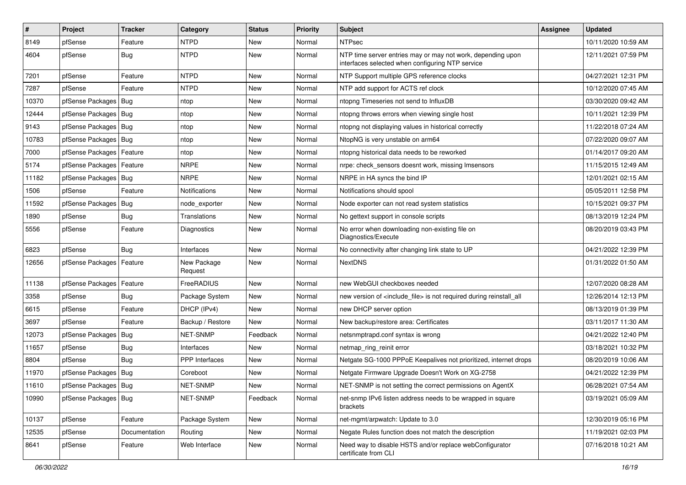| #     | Project                    | <b>Tracker</b> | Category               | <b>Status</b> | <b>Priority</b> | Subject                                                                                                         | <b>Assignee</b> | <b>Updated</b>      |
|-------|----------------------------|----------------|------------------------|---------------|-----------------|-----------------------------------------------------------------------------------------------------------------|-----------------|---------------------|
| 8149  | pfSense                    | Feature        | <b>NTPD</b>            | New           | Normal          | <b>NTPsec</b>                                                                                                   |                 | 10/11/2020 10:59 AM |
| 4604  | pfSense                    | Bug            | <b>NTPD</b>            | New           | Normal          | NTP time server entries may or may not work, depending upon<br>interfaces selected when configuring NTP service |                 | 12/11/2021 07:59 PM |
| 7201  | pfSense                    | Feature        | <b>NTPD</b>            | <b>New</b>    | Normal          | NTP Support multiple GPS reference clocks                                                                       |                 | 04/27/2021 12:31 PM |
| 7287  | pfSense                    | Feature        | <b>NTPD</b>            | New           | Normal          | NTP add support for ACTS ref clock                                                                              |                 | 10/12/2020 07:45 AM |
| 10370 | pfSense Packages   Bug     |                | ntop                   | New           | Normal          | ntopng Timeseries not send to InfluxDB                                                                          |                 | 03/30/2020 09:42 AM |
| 12444 | pfSense Packages   Bug     |                | ntop                   | New           | Normal          | ntopng throws errors when viewing single host                                                                   |                 | 10/11/2021 12:39 PM |
| 9143  | pfSense Packages   Bug     |                | ntop                   | <b>New</b>    | Normal          | ntopng not displaying values in historical correctly                                                            |                 | 11/22/2018 07:24 AM |
| 10783 | pfSense Packages   Bug     |                | ntop                   | New           | Normal          | NtopNG is very unstable on arm64                                                                                |                 | 07/22/2020 09:07 AM |
| 7000  | pfSense Packages   Feature |                | ntop                   | <b>New</b>    | Normal          | ntopng historical data needs to be reworked                                                                     |                 | 01/14/2017 09:20 AM |
| 5174  | pfSense Packages   Feature |                | <b>NRPE</b>            | New           | Normal          | nrpe: check sensors doesnt work, missing Imsensors                                                              |                 | 11/15/2015 12:49 AM |
| 11182 | pfSense Packages   Bug     |                | <b>NRPE</b>            | <b>New</b>    | Normal          | NRPE in HA syncs the bind IP                                                                                    |                 | 12/01/2021 02:15 AM |
| 1506  | pfSense                    | Feature        | Notifications          | <b>New</b>    | Normal          | Notifications should spool                                                                                      |                 | 05/05/2011 12:58 PM |
| 11592 | pfSense Packages   Bug     |                | node_exporter          | New           | Normal          | Node exporter can not read system statistics                                                                    |                 | 10/15/2021 09:37 PM |
| 1890  | pfSense                    | Bug            | Translations           | <b>New</b>    | Normal          | No gettext support in console scripts                                                                           |                 | 08/13/2019 12:24 PM |
| 5556  | pfSense                    | Feature        | Diagnostics            | New           | Normal          | No error when downloading non-existing file on<br>Diagnostics/Execute                                           |                 | 08/20/2019 03:43 PM |
| 6823  | pfSense                    | Bug            | Interfaces             | <b>New</b>    | Normal          | No connectivity after changing link state to UP                                                                 |                 | 04/21/2022 12:39 PM |
| 12656 | pfSense Packages   Feature |                | New Package<br>Request | New           | Normal          | <b>NextDNS</b>                                                                                                  |                 | 01/31/2022 01:50 AM |
| 11138 | pfSense Packages           | Feature        | FreeRADIUS             | <b>New</b>    | Normal          | new WebGUI checkboxes needed                                                                                    |                 | 12/07/2020 08:28 AM |
| 3358  | pfSense                    | Bug            | Package System         | New           | Normal          | new version of <include file=""> is not required during reinstall all</include>                                 |                 | 12/26/2014 12:13 PM |
| 6615  | pfSense                    | Feature        | DHCP (IPv4)            | <b>New</b>    | Normal          | new DHCP server option                                                                                          |                 | 08/13/2019 01:39 PM |
| 3697  | pfSense                    | Feature        | Backup / Restore       | New           | Normal          | New backup/restore area: Certificates                                                                           |                 | 03/11/2017 11:30 AM |
| 12073 | pfSense Packages   Bug     |                | NET-SNMP               | Feedback      | Normal          | netsnmptrapd.conf syntax is wrong                                                                               |                 | 04/21/2022 12:40 PM |
| 11657 | pfSense                    | Bug            | Interfaces             | <b>New</b>    | Normal          | netmap ring reinit error                                                                                        |                 | 03/18/2021 10:32 PM |
| 8804  | pfSense                    | <b>Bug</b>     | <b>PPP</b> Interfaces  | <b>New</b>    | Normal          | Netgate SG-1000 PPPoE Keepalives not prioritized, internet drops                                                |                 | 08/20/2019 10:06 AM |
| 11970 | pfSense Packages   Bug     |                | Coreboot               | New           | Normal          | Netgate Firmware Upgrade Doesn't Work on XG-2758                                                                |                 | 04/21/2022 12:39 PM |
| 11610 | pfSense Packages   Bug     |                | NET-SNMP               | New           | Normal          | NET-SNMP is not setting the correct permissions on AgentX                                                       |                 | 06/28/2021 07:54 AM |
| 10990 | pfSense Packages   Bug     |                | NET-SNMP               | Feedback      | Normal          | net-snmp IPv6 listen address needs to be wrapped in square<br>brackets                                          |                 | 03/19/2021 05:09 AM |
| 10137 | pfSense                    | Feature        | Package System         | New           | Normal          | net-mgmt/arpwatch: Update to 3.0                                                                                |                 | 12/30/2019 05:16 PM |
| 12535 | pfSense                    | Documentation  | Routing                | New           | Normal          | Negate Rules function does not match the description                                                            |                 | 11/19/2021 02:03 PM |
| 8641  | pfSense                    | Feature        | Web Interface          | New           | Normal          | Need way to disable HSTS and/or replace webConfigurator<br>certificate from CLI                                 |                 | 07/16/2018 10:21 AM |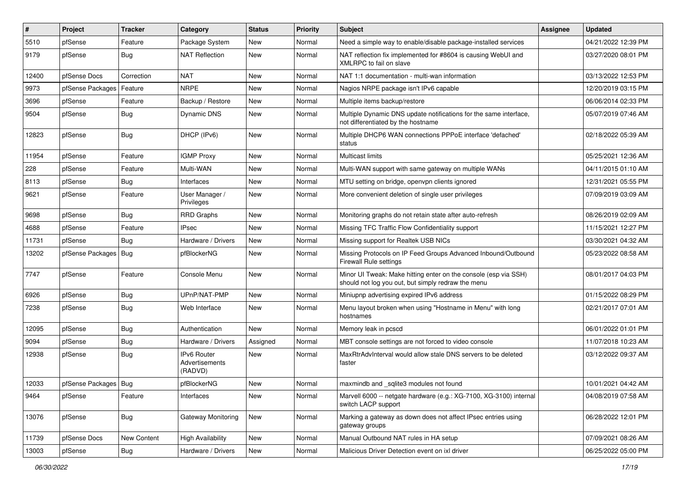| $\vert$ # | Project                | <b>Tracker</b> | Category                                 | <b>Status</b> | <b>Priority</b> | Subject                                                                                                               | <b>Assignee</b> | <b>Updated</b>      |
|-----------|------------------------|----------------|------------------------------------------|---------------|-----------------|-----------------------------------------------------------------------------------------------------------------------|-----------------|---------------------|
| 5510      | pfSense                | Feature        | Package System                           | New           | Normal          | Need a simple way to enable/disable package-installed services                                                        |                 | 04/21/2022 12:39 PM |
| 9179      | pfSense                | Bug            | <b>NAT Reflection</b>                    | <b>New</b>    | Normal          | NAT reflection fix implemented for #8604 is causing WebUI and<br>XMLRPC to fail on slave                              |                 | 03/27/2020 08:01 PM |
| 12400     | pfSense Docs           | Correction     | <b>NAT</b>                               | <b>New</b>    | Normal          | NAT 1:1 documentation - multi-wan information                                                                         |                 | 03/13/2022 12:53 PM |
| 9973      | pfSense Packages       | Feature        | <b>NRPE</b>                              | <b>New</b>    | Normal          | Nagios NRPE package isn't IPv6 capable                                                                                |                 | 12/20/2019 03:15 PM |
| 3696      | pfSense                | Feature        | Backup / Restore                         | New           | Normal          | Multiple items backup/restore                                                                                         |                 | 06/06/2014 02:33 PM |
| 9504      | pfSense                | Bug            | Dynamic DNS                              | New           | Normal          | Multiple Dynamic DNS update notifications for the same interface,<br>not differentiated by the hostname               |                 | 05/07/2019 07:46 AM |
| 12823     | pfSense                | <b>Bug</b>     | DHCP (IPv6)                              | <b>New</b>    | Normal          | Multiple DHCP6 WAN connections PPPoE interface 'defached'<br>status                                                   |                 | 02/18/2022 05:39 AM |
| 11954     | pfSense                | Feature        | <b>IGMP Proxy</b>                        | <b>New</b>    | Normal          | <b>Multicast limits</b>                                                                                               |                 | 05/25/2021 12:36 AM |
| 228       | pfSense                | Feature        | Multi-WAN                                | <b>New</b>    | Normal          | Multi-WAN support with same gateway on multiple WANs                                                                  |                 | 04/11/2015 01:10 AM |
| 8113      | pfSense                | Bug            | Interfaces                               | <b>New</b>    | Normal          | MTU setting on bridge, openvpn clients ignored                                                                        |                 | 12/31/2021 05:55 PM |
| 9621      | pfSense                | Feature        | User Manager /<br>Privileges             | New           | Normal          | More convenient deletion of single user privileges                                                                    |                 | 07/09/2019 03:09 AM |
| 9698      | pfSense                | Bug            | <b>RRD Graphs</b>                        | <b>New</b>    | Normal          | Monitoring graphs do not retain state after auto-refresh                                                              |                 | 08/26/2019 02:09 AM |
| 4688      | pfSense                | Feature        | <b>IPsec</b>                             | New           | Normal          | Missing TFC Traffic Flow Confidentiality support                                                                      |                 | 11/15/2021 12:27 PM |
| 11731     | pfSense                | Bug            | Hardware / Drivers                       | <b>New</b>    | Normal          | Missing support for Realtek USB NICs                                                                                  |                 | 03/30/2021 04:32 AM |
| 13202     | pfSense Packages       | Bug            | pfBlockerNG                              | New           | Normal          | Missing Protocols on IP Feed Groups Advanced Inbound/Outbound<br><b>Firewall Rule settings</b>                        |                 | 05/23/2022 08:58 AM |
| 7747      | pfSense                | Feature        | Console Menu                             | <b>New</b>    | Normal          | Minor UI Tweak: Make hitting enter on the console (esp via SSH)<br>should not log you out, but simply redraw the menu |                 | 08/01/2017 04:03 PM |
| 6926      | pfSense                | Bug            | UPnP/NAT-PMP                             | <b>New</b>    | Normal          | Miniupnp advertising expired IPv6 address                                                                             |                 | 01/15/2022 08:29 PM |
| 7238      | pfSense                | Bug            | Web Interface                            | <b>New</b>    | Normal          | Menu layout broken when using "Hostname in Menu" with long<br>hostnames                                               |                 | 02/21/2017 07:01 AM |
| 12095     | pfSense                | Bug            | Authentication                           | New           | Normal          | Memory leak in pcscd                                                                                                  |                 | 06/01/2022 01:01 PM |
| 9094      | pfSense                | Bug            | Hardware / Drivers                       | Assigned      | Normal          | MBT console settings are not forced to video console                                                                  |                 | 11/07/2018 10:23 AM |
| 12938     | pfSense                | <b>Bug</b>     | IPv6 Router<br>Advertisements<br>(RADVD) | New           | Normal          | MaxRtrAdvInterval would allow stale DNS servers to be deleted<br>faster                                               |                 | 03/12/2022 09:37 AM |
| 12033     | pfSense Packages   Bug |                | pfBlockerNG                              | <b>New</b>    | Normal          | maxmindb and sqlite3 modules not found                                                                                |                 | 10/01/2021 04:42 AM |
| 9464      | pfSense                | Feature        | Interfaces                               | New           | Normal          | Marvell 6000 -- netgate hardware (e.g.: XG-7100, XG-3100) internal<br>switch LACP support                             |                 | 04/08/2019 07:58 AM |
| 13076     | pfSense                | Bug            | Gateway Monitoring                       | New           | Normal          | Marking a gateway as down does not affect IPsec entries using<br>gateway groups                                       |                 | 06/28/2022 12:01 PM |
| 11739     | pfSense Docs           | New Content    | <b>High Availability</b>                 | New           | Normal          | Manual Outbound NAT rules in HA setup                                                                                 |                 | 07/09/2021 08:26 AM |
| 13003     | pfSense                | Bug            | Hardware / Drivers                       | New           | Normal          | Malicious Driver Detection event on ixl driver                                                                        |                 | 06/25/2022 05:00 PM |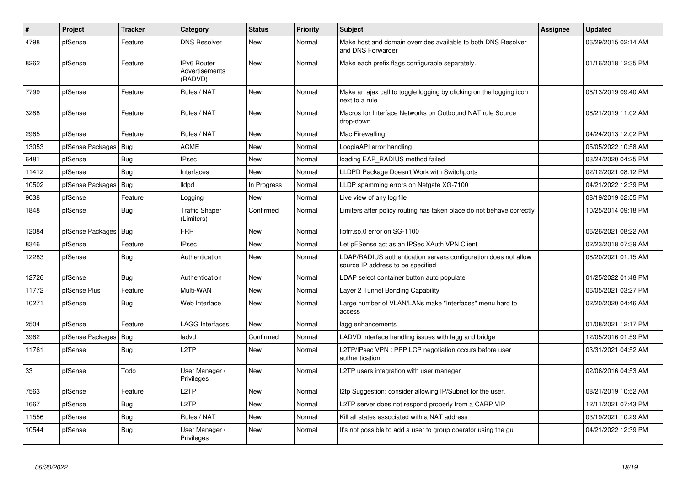| $\vert$ # | Project          | <b>Tracker</b> | Category                                 | <b>Status</b> | <b>Priority</b> | <b>Subject</b>                                                                                       | <b>Assignee</b> | <b>Updated</b>      |
|-----------|------------------|----------------|------------------------------------------|---------------|-----------------|------------------------------------------------------------------------------------------------------|-----------------|---------------------|
| 4798      | pfSense          | Feature        | <b>DNS Resolver</b>                      | <b>New</b>    | Normal          | Make host and domain overrides available to both DNS Resolver<br>and DNS Forwarder                   |                 | 06/29/2015 02:14 AM |
| 8262      | pfSense          | Feature        | IPv6 Router<br>Advertisements<br>(RADVD) | <b>New</b>    | Normal          | Make each prefix flags configurable separately.                                                      |                 | 01/16/2018 12:35 PM |
| 7799      | pfSense          | Feature        | Rules / NAT                              | <b>New</b>    | Normal          | Make an ajax call to toggle logging by clicking on the logging icon<br>next to a rule                |                 | 08/13/2019 09:40 AM |
| 3288      | pfSense          | Feature        | Rules / NAT                              | <b>New</b>    | Normal          | Macros for Interface Networks on Outbound NAT rule Source<br>drop-down                               |                 | 08/21/2019 11:02 AM |
| 2965      | pfSense          | Feature        | Rules / NAT                              | <b>New</b>    | Normal          | Mac Firewalling                                                                                      |                 | 04/24/2013 12:02 PM |
| 13053     | pfSense Packages | Bug            | <b>ACME</b>                              | <b>New</b>    | Normal          | LoopiaAPI error handling                                                                             |                 | 05/05/2022 10:58 AM |
| 6481      | pfSense          | Bug            | <b>IPsec</b>                             | <b>New</b>    | Normal          | loading EAP RADIUS method failed                                                                     |                 | 03/24/2020 04:25 PM |
| 11412     | pfSense          | <b>Bug</b>     | Interfaces                               | <b>New</b>    | Normal          | LLDPD Package Doesn't Work with Switchports                                                          |                 | 02/12/2021 08:12 PM |
| 10502     | pfSense Packages | Bug            | lldpd                                    | In Progress   | Normal          | LLDP spamming errors on Netgate XG-7100                                                              |                 | 04/21/2022 12:39 PM |
| 9038      | pfSense          | Feature        | Logging                                  | New           | Normal          | Live view of any log file                                                                            |                 | 08/19/2019 02:55 PM |
| 1848      | pfSense          | Bug            | <b>Traffic Shaper</b><br>(Limiters)      | Confirmed     | Normal          | Limiters after policy routing has taken place do not behave correctly                                |                 | 10/25/2014 09:18 PM |
| 12084     | pfSense Packages | Bug            | <b>FRR</b>                               | <b>New</b>    | Normal          | libfrr.so.0 error on SG-1100                                                                         |                 | 06/26/2021 08:22 AM |
| 8346      | pfSense          | Feature        | <b>IPsec</b>                             | <b>New</b>    | Normal          | Let pFSense act as an IPSec XAuth VPN Client                                                         |                 | 02/23/2018 07:39 AM |
| 12283     | pfSense          | Bug            | Authentication                           | New           | Normal          | LDAP/RADIUS authentication servers configuration does not allow<br>source IP address to be specified |                 | 08/20/2021 01:15 AM |
| 12726     | pfSense          | <b>Bug</b>     | Authentication                           | <b>New</b>    | Normal          | LDAP select container button auto populate                                                           |                 | 01/25/2022 01:48 PM |
| 11772     | pfSense Plus     | Feature        | Multi-WAN                                | <b>New</b>    | Normal          | Layer 2 Tunnel Bonding Capability                                                                    |                 | 06/05/2021 03:27 PM |
| 10271     | pfSense          | <b>Bug</b>     | Web Interface                            | <b>New</b>    | Normal          | Large number of VLAN/LANs make "Interfaces" menu hard to<br>access                                   |                 | 02/20/2020 04:46 AM |
| 2504      | pfSense          | Feature        | <b>LAGG Interfaces</b>                   | <b>New</b>    | Normal          | lagg enhancements                                                                                    |                 | 01/08/2021 12:17 PM |
| 3962      | pfSense Packages | Bug            | ladvd                                    | Confirmed     | Normal          | LADVD interface handling issues with lagg and bridge                                                 |                 | 12/05/2016 01:59 PM |
| 11761     | pfSense          | Bug            | L2TP                                     | <b>New</b>    | Normal          | L2TP/IPsec VPN: PPP LCP negotiation occurs before user<br>authentication                             |                 | 03/31/2021 04:52 AM |
| 33        | pfSense          | Todo           | User Manager /<br>Privileges             | <b>New</b>    | Normal          | L2TP users integration with user manager                                                             |                 | 02/06/2016 04:53 AM |
| 7563      | pfSense          | Feature        | L <sub>2</sub> TP                        | <b>New</b>    | Normal          | I2tp Suggestion: consider allowing IP/Subnet for the user.                                           |                 | 08/21/2019 10:52 AM |
| 1667      | pfSense          | Bug            | L <sub>2</sub> TP                        | <b>New</b>    | Normal          | L2TP server does not respond properly from a CARP VIP                                                |                 | 12/11/2021 07:43 PM |
| 11556     | pfSense          | Bug            | Rules / NAT                              | New           | Normal          | Kill all states associated with a NAT address                                                        |                 | 03/19/2021 10:29 AM |
| 10544     | pfSense          | <b>Bug</b>     | User Manager /<br>Privileges             | New           | Normal          | It's not possible to add a user to group operator using the gui                                      |                 | 04/21/2022 12:39 PM |